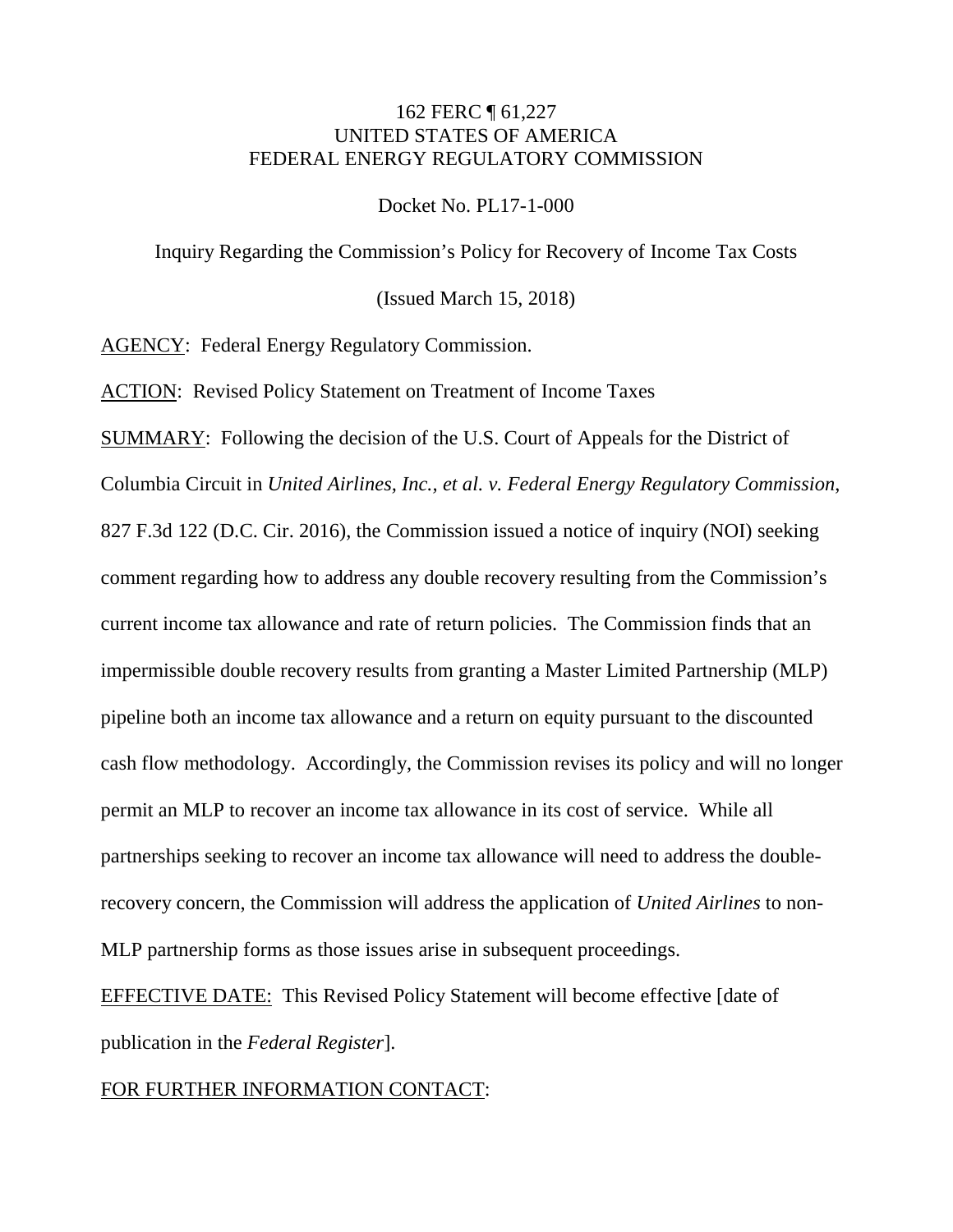### 162 FERC ¶ 61,227 UNITED STATES OF AMERICA FEDERAL ENERGY REGULATORY COMMISSION

Docket No. PL17-1-000

Inquiry Regarding the Commission's Policy for Recovery of Income Tax Costs

(Issued March 15, 2018)

AGENCY: Federal Energy Regulatory Commission.

ACTION: Revised Policy Statement on Treatment of Income Taxes

SUMMARY: Following the decision of the U.S. Court of Appeals for the District of Columbia Circuit in *United Airlines, Inc., et al. v. Federal Energy Regulatory Commission*, 827 F.3d 122 (D.C. Cir. 2016), the Commission issued a notice of inquiry (NOI) seeking comment regarding how to address any double recovery resulting from the Commission's current income tax allowance and rate of return policies. The Commission finds that an impermissible double recovery results from granting a Master Limited Partnership (MLP) pipeline both an income tax allowance and a return on equity pursuant to the discounted cash flow methodology. Accordingly, the Commission revises its policy and will no longer permit an MLP to recover an income tax allowance in its cost of service. While all partnerships seeking to recover an income tax allowance will need to address the doublerecovery concern, the Commission will address the application of *United Airlines* to non-MLP partnership forms as those issues arise in subsequent proceedings.

EFFECTIVE DATE: This Revised Policy Statement will become effective [date of publication in the *Federal Register*].

FOR FURTHER INFORMATION CONTACT: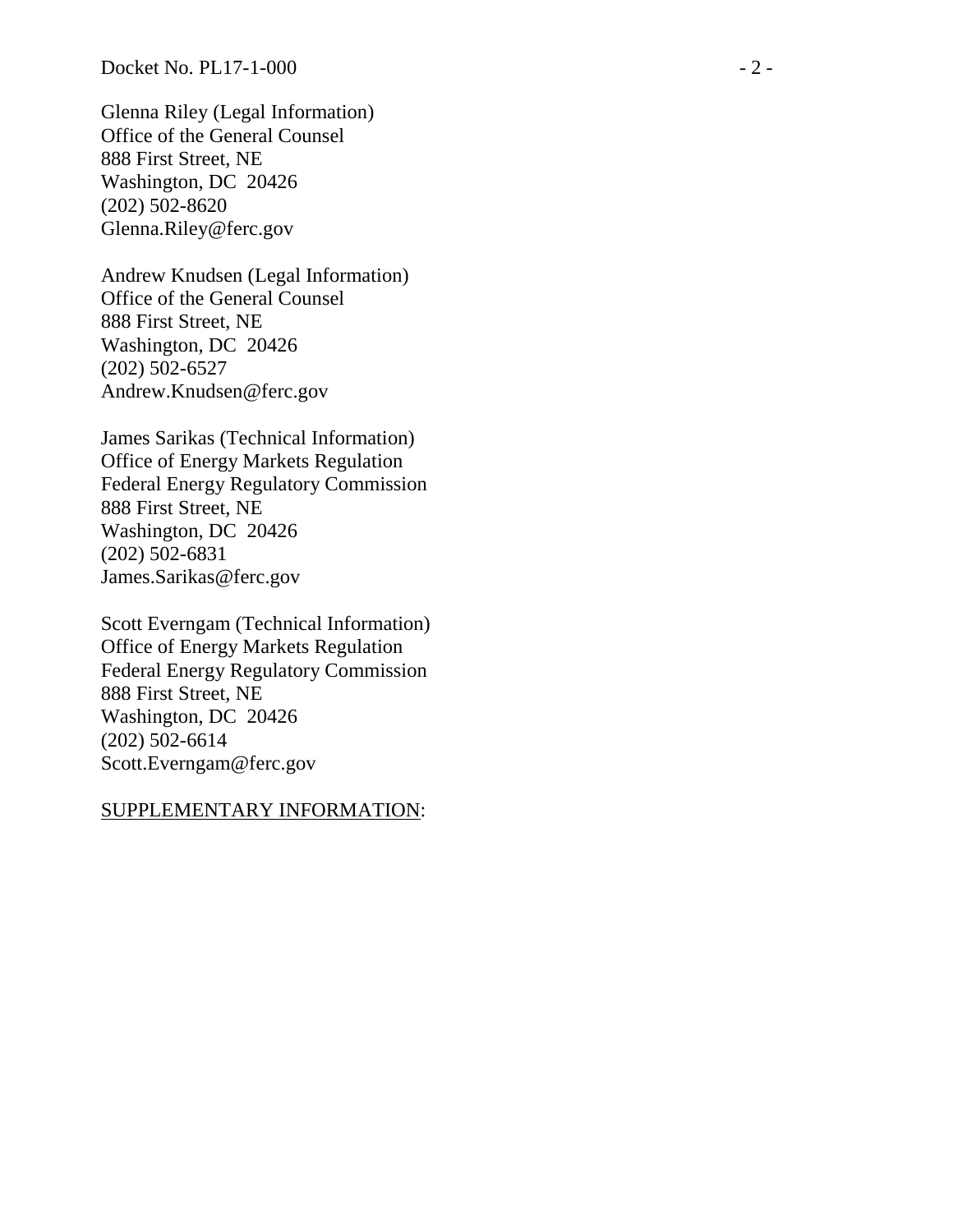Glenna Riley (Legal Information) Office of the General Counsel 888 First Street, NE Washington, DC 20426 (202) 502 -8620 Glenna.Riley@ferc.gov

Andrew Knudsen (Legal Information) Office of the General Counsel 888 First Street, NE Washington, DC 20426 (202) 502 -6527 Andrew.Knudsen@ferc.gov

James Sarikas (Technical Information) Office of Energy Markets Regulation Federal Energy Regulatory Commission 888 First Street, NE Washington, DC 20426 (202) 502 -6831 James.Sarikas@ferc.gov

Scott Everngam (Technical Information) Office of Energy Markets Regulation Federal Energy Regulatory Commission 888 First Street, NE Washington, DC 20426 (202) 502 -6614 Scott.Everngam@ferc.gov

#### SUPPLEMENTARY INFORMATION: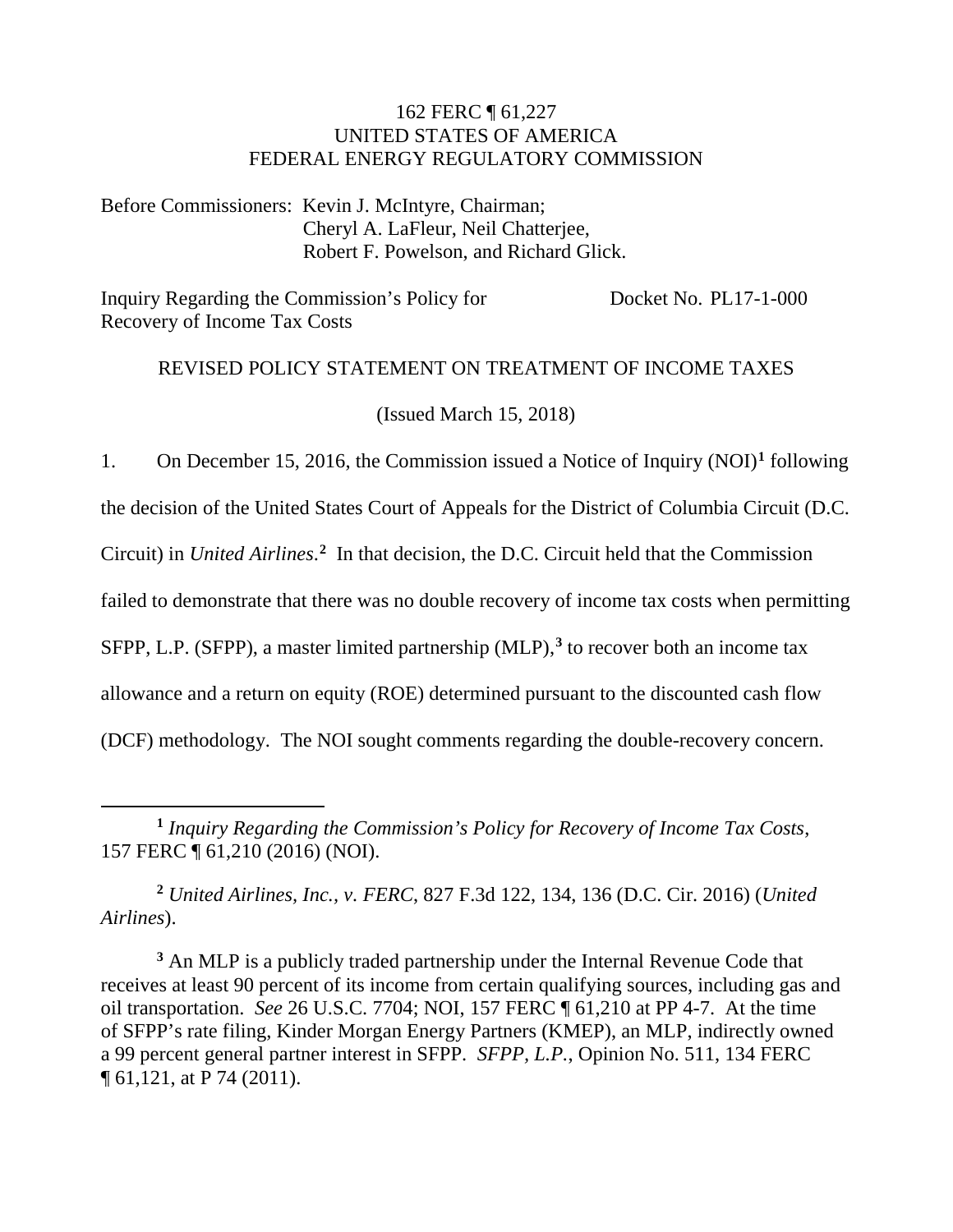### 162 FERC ¶ 61,227 UNITED STATES OF AMERICA FEDERAL ENERGY REGULATORY COMMISSION

Before Commissioners: Kevin J. McIntyre, Chairman; Cheryl A. LaFleur, Neil Chatterjee, Robert F. Powelson, and Richard Glick.

Inquiry Regarding the Commission's Policy for Recovery of Income Tax Costs Docket No. PL17-1-000

### REVISED POLICY STATEMENT ON TREATMENT OF INCOME TAXES

(Issued March 15, 2018)

1. On December 15, 2016, the Commission issued a Notice of Inquiry (NOI)**[1](#page-2-0)** following

the decision of the United States Court of Appeals for the District of Columbia Circuit (D.C.

Circuit) in *United Airlines*. **[2](#page-2-1)** In that decision, the D.C. Circuit held that the Commission

failed to demonstrate that there was no double recovery of income tax costs when permitting

SFPP, L.P. (SFPP), a master limited partnership (MLP),<sup>[3](#page-2-2)</sup> to recover both an income tax

allowance and a return on equity (ROE) determined pursuant to the discounted cash flow

(DCF) methodology. The NOI sought comments regarding the double-recovery concern.

<span id="page-2-1"></span>**<sup>2</sup>** *United Airlines, Inc., v. FERC*, 827 F.3d 122, 134, 136 (D.C. Cir. 2016) (*United Airlines*).

<span id="page-2-2"></span>**<sup>3</sup>** An MLP is a publicly traded partnership under the Internal Revenue Code that receives at least 90 percent of its income from certain qualifying sources, including gas and oil transportation. *See* 26 U.S.C. 7704; NOI, 157 FERC ¶ 61,210 at PP 4-7. At the time of SFPP's rate filing, Kinder Morgan Energy Partners (KMEP), an MLP, indirectly owned a 99 percent general partner interest in SFPP. *SFPP, L.P.*, Opinion No. 511, 134 FERC ¶ 61,121, at P 74 (2011).

<span id="page-2-0"></span> $\overline{a}$ **<sup>1</sup>** *Inquiry Regarding the Commission's Policy for Recovery of Income Tax Costs*, 157 FERC ¶ 61,210 (2016) (NOI).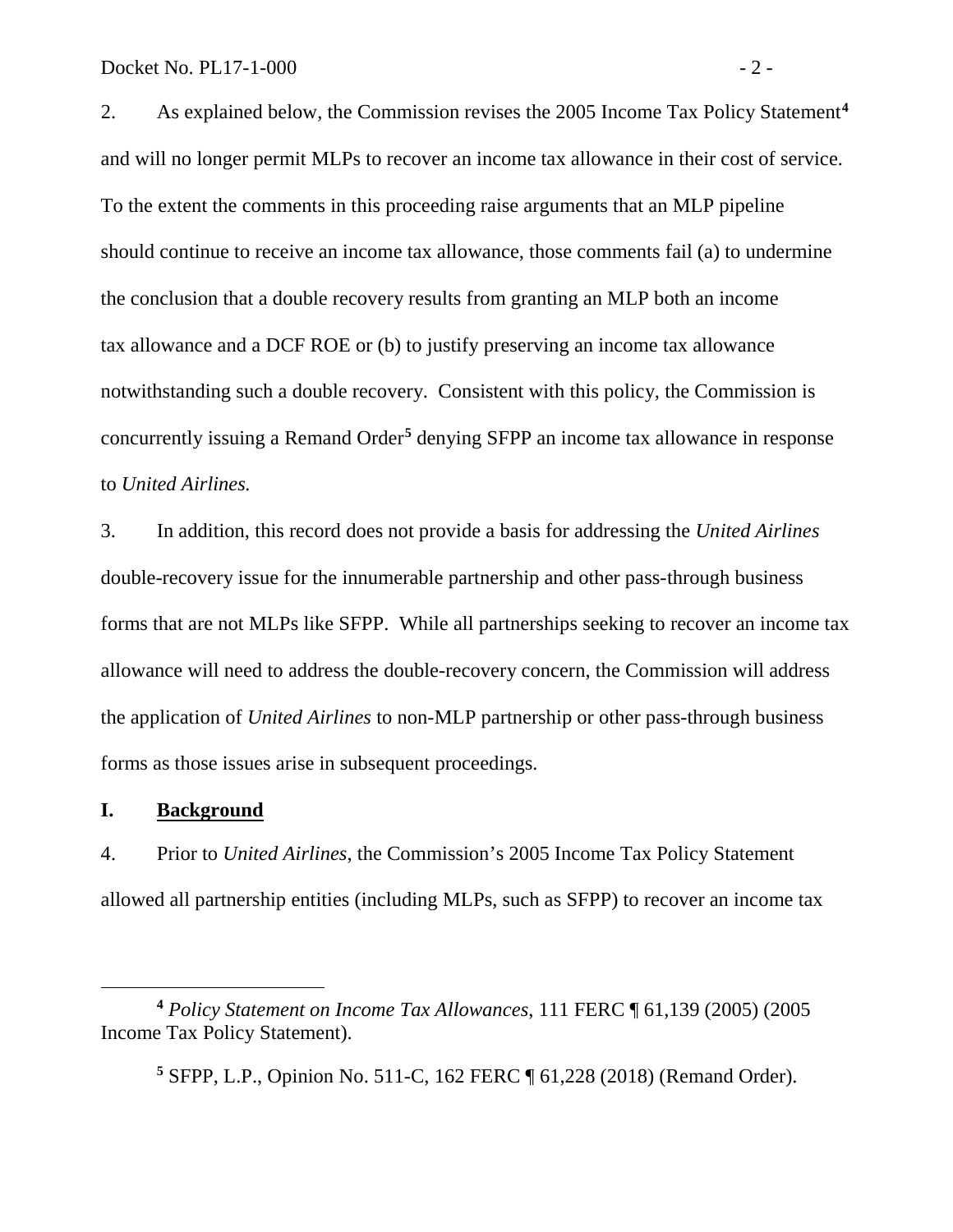2. As explained below, the Commission revises the 2005 Income Tax Policy Statement**[4](#page-3-0)** and will no longer permit MLPs to recover an income tax allowance in their cost of service. To the extent the comments in this proceeding raise arguments that an MLP pipeline should continue to receive an income tax allowance, those comments fail (a) to undermine the conclusion that a double recovery results from granting an MLP both an income tax allowance and a DCF ROE or (b) to justify preserving an income tax allowance notwithstanding such a double recovery. Consistent with this policy, the Commission is concurrently issuing a Remand Order**[5](#page-3-1)** denying SFPP an income tax allowance in response to *United Airlines.*

3. In addition, this record does not provide a basis for addressing the *United Airlines*  double-recovery issue for the innumerable partnership and other pass-through business forms that are not MLPs like SFPP. While all partnerships seeking to recover an income tax allowance will need to address the double-recovery concern, the Commission will address the application of *United Airlines* to non-MLP partnership or other pass-through business forms as those issues arise in subsequent proceedings.

#### **I. Background**

 $\overline{a}$ 

4. Prior to *United Airlines*, the Commission's 2005 Income Tax Policy Statement allowed all partnership entities (including MLPs, such as SFPP) to recover an income tax

<span id="page-3-1"></span><span id="page-3-0"></span>**<sup>4</sup>** *Policy Statement on Income Tax Allowances*, 111 FERC ¶ 61,139 (2005) (2005 Income Tax Policy Statement).

**<sup>5</sup>** SFPP, L.P., Opinion No. 511-C, 162 FERC ¶ 61,228 (2018) (Remand Order).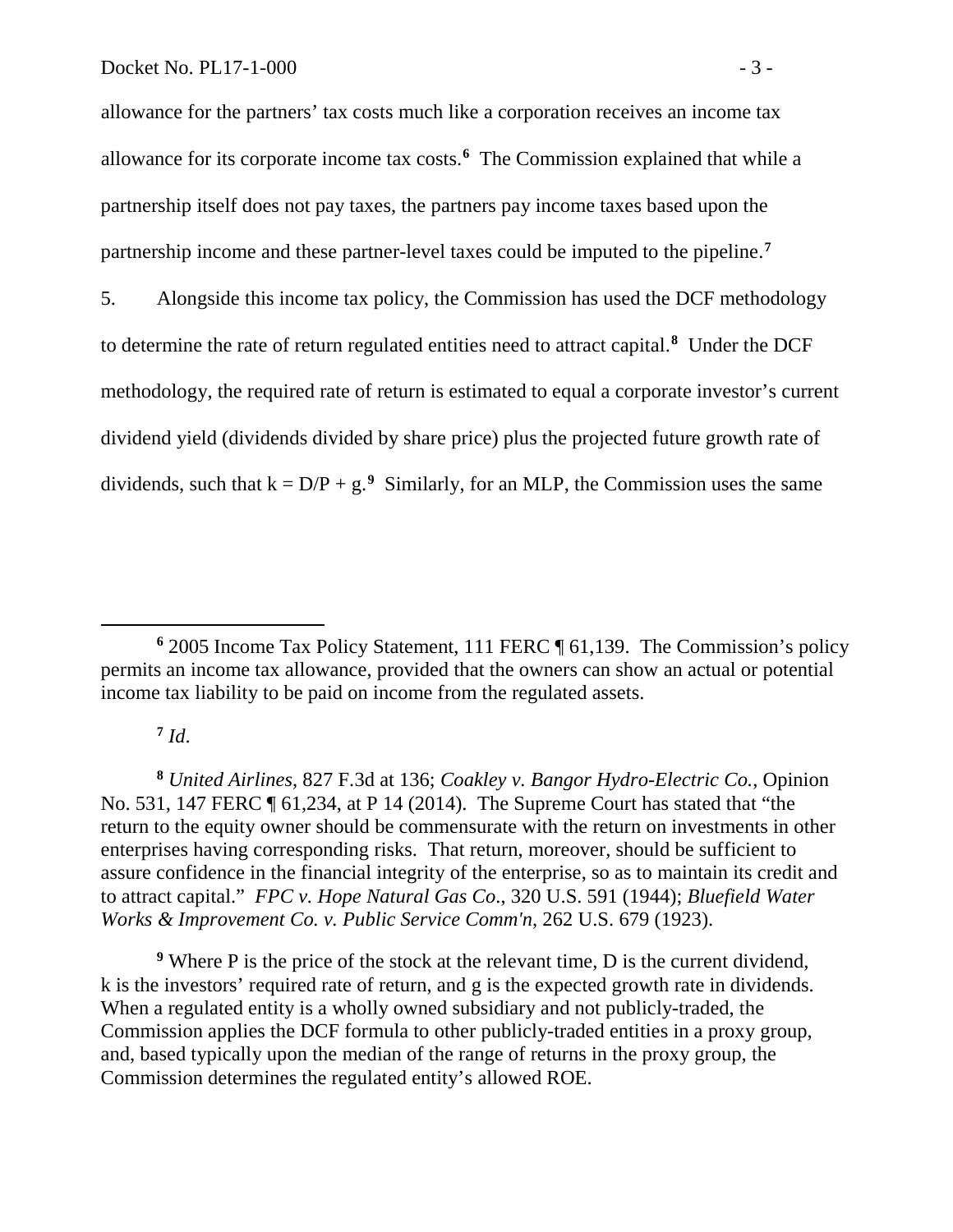allowance for the partners' tax costs much like a corporation receives an income tax allowance for its corporate income tax costs.**[6](#page-4-0)** The Commission explained that while a partnership itself does not pay taxes, the partners pay income taxes based upon the partnership income and these partner-level taxes could be imputed to the pipeline.**[7](#page-4-1)**

5. Alongside this income tax policy, the Commission has used the DCF methodology to determine the rate of return regulated entities need to attract capital.**[8](#page-4-2)** Under the DCF methodology, the required rate of return is estimated to equal a corporate investor's current dividend yield (dividends divided by share price) plus the projected future growth rate of dividends, such that  $k = D/P + g<sup>9</sup>$  $k = D/P + g<sup>9</sup>$  $k = D/P + g<sup>9</sup>$ . Similarly, for an MLP, the Commission uses the same

 $7$   $Id.$ 

 $\overline{a}$ 

<span id="page-4-2"></span><span id="page-4-1"></span>**<sup>8</sup>** *United Airlines*, 827 F.3d at 136; *Coakley v. Bangor Hydro-Electric Co.*, Opinion No. 531, 147 FERC ¶ 61,234, at P 14 (2014). The Supreme Court has stated that "the return to the equity owner should be commensurate with the return on investments in other enterprises having corresponding risks. That return, moreover, should be sufficient to assure confidence in the financial integrity of the enterprise, so as to maintain its credit and to attract capital." *FPC v. Hope Natural Gas Co*., 320 U.S. 591 (1944); *Bluefield Water Works & Improvement Co. v. Public Service Comm'n*, 262 U.S. 679 (1923).

<span id="page-4-3"></span>**<sup>9</sup>** Where P is the price of the stock at the relevant time, D is the current dividend, k is the investors' required rate of return, and g is the expected growth rate in dividends. When a regulated entity is a wholly owned subsidiary and not publicly-traded, the Commission applies the DCF formula to other publicly-traded entities in a proxy group, and, based typically upon the median of the range of returns in the proxy group, the Commission determines the regulated entity's allowed ROE.

<span id="page-4-0"></span>**<sup>6</sup>** 2005 Income Tax Policy Statement, 111 FERC ¶ 61,139. The Commission's policy permits an income tax allowance, provided that the owners can show an actual or potential income tax liability to be paid on income from the regulated assets.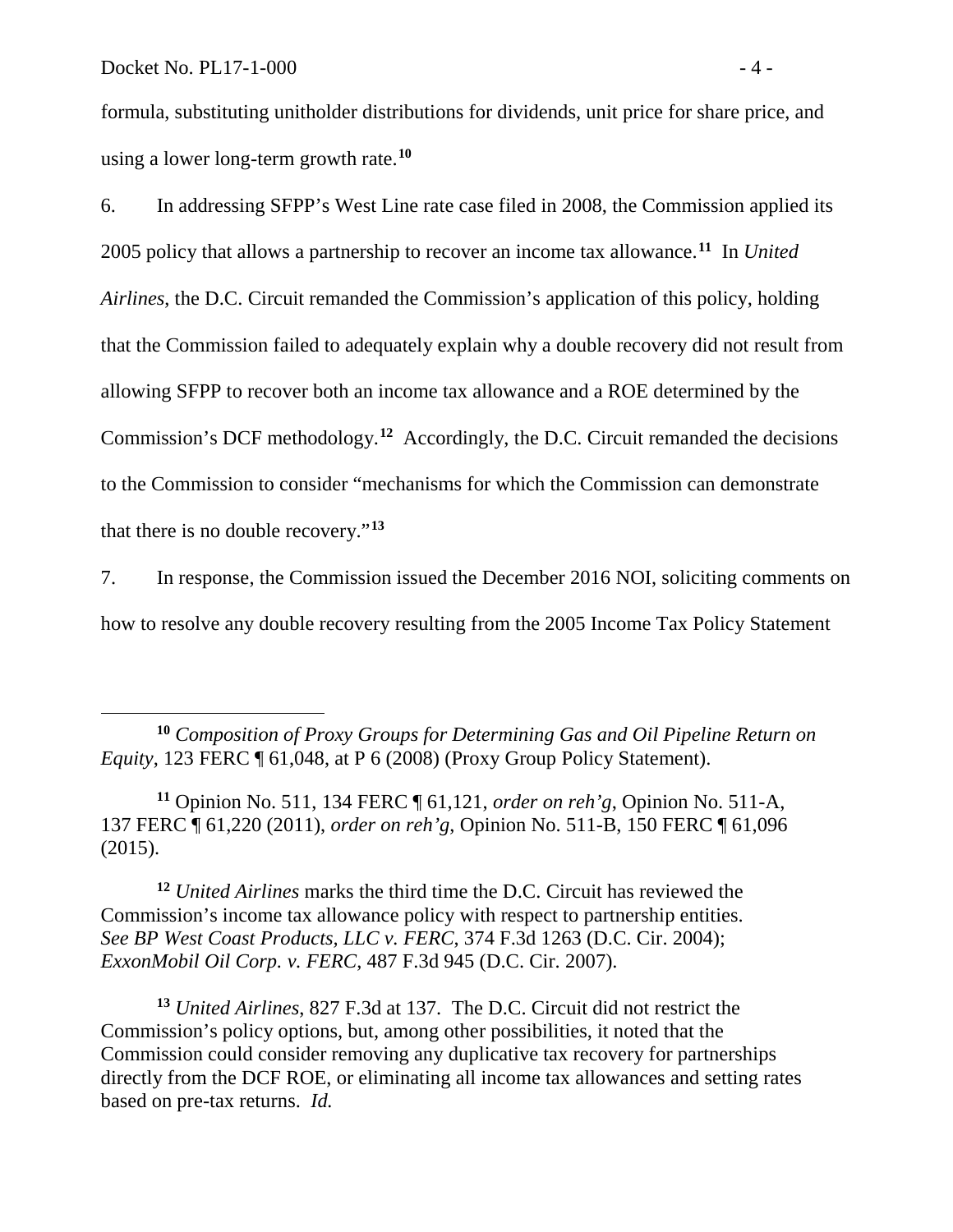formula, substituting unitholder distributions for dividends, unit price for share price, and using a lower long-term growth rate.**[10](#page-5-0)**

6. In addressing SFPP's West Line rate case filed in 2008, the Commission applied its 2005 policy that allows a partnership to recover an income tax allowance.**[11](#page-5-1)** In *United Airlines*, the D.C. Circuit remanded the Commission's application of this policy, holding that the Commission failed to adequately explain why a double recovery did not result from allowing SFPP to recover both an income tax allowance and a ROE determined by the Commission's DCF methodology.**[12](#page-5-2)** Accordingly, the D.C. Circuit remanded the decisions to the Commission to consider "mechanisms for which the Commission can demonstrate that there is no double recovery."**[13](#page-5-3)** 

7. In response, the Commission issued the December 2016 NOI, soliciting comments on how to resolve any double recovery resulting from the 2005 Income Tax Policy Statement

<span id="page-5-1"></span>**<sup>11</sup>** Opinion No. 511, 134 FERC ¶ 61,121, *order on reh'g*, Opinion No. 511-A, 137 FERC ¶ 61,220 (2011), *order on reh'g*, Opinion No. 511-B, 150 FERC ¶ 61,096 (2015).

<span id="page-5-2"></span>**<sup>12</sup>** *United Airlines* marks the third time the D.C. Circuit has reviewed the Commission's income tax allowance policy with respect to partnership entities. *See BP West Coast Products, LLC v. FERC*, 374 F.3d 1263 (D.C. Cir. 2004); *ExxonMobil Oil Corp. v. FERC*, 487 F.3d 945 (D.C. Cir. 2007).

<span id="page-5-3"></span>**<sup>13</sup>** *United Airlines*, 827 F.3d at 137. The D.C. Circuit did not restrict the Commission's policy options, but, among other possibilities, it noted that the Commission could consider removing any duplicative tax recovery for partnerships directly from the DCF ROE, or eliminating all income tax allowances and setting rates based on pre-tax returns. *Id.*

<span id="page-5-0"></span>**<sup>10</sup>** *Composition of Proxy Groups for Determining Gas and Oil Pipeline Return on Equity*, 123 FERC ¶ 61,048, at P 6 (2008) (Proxy Group Policy Statement).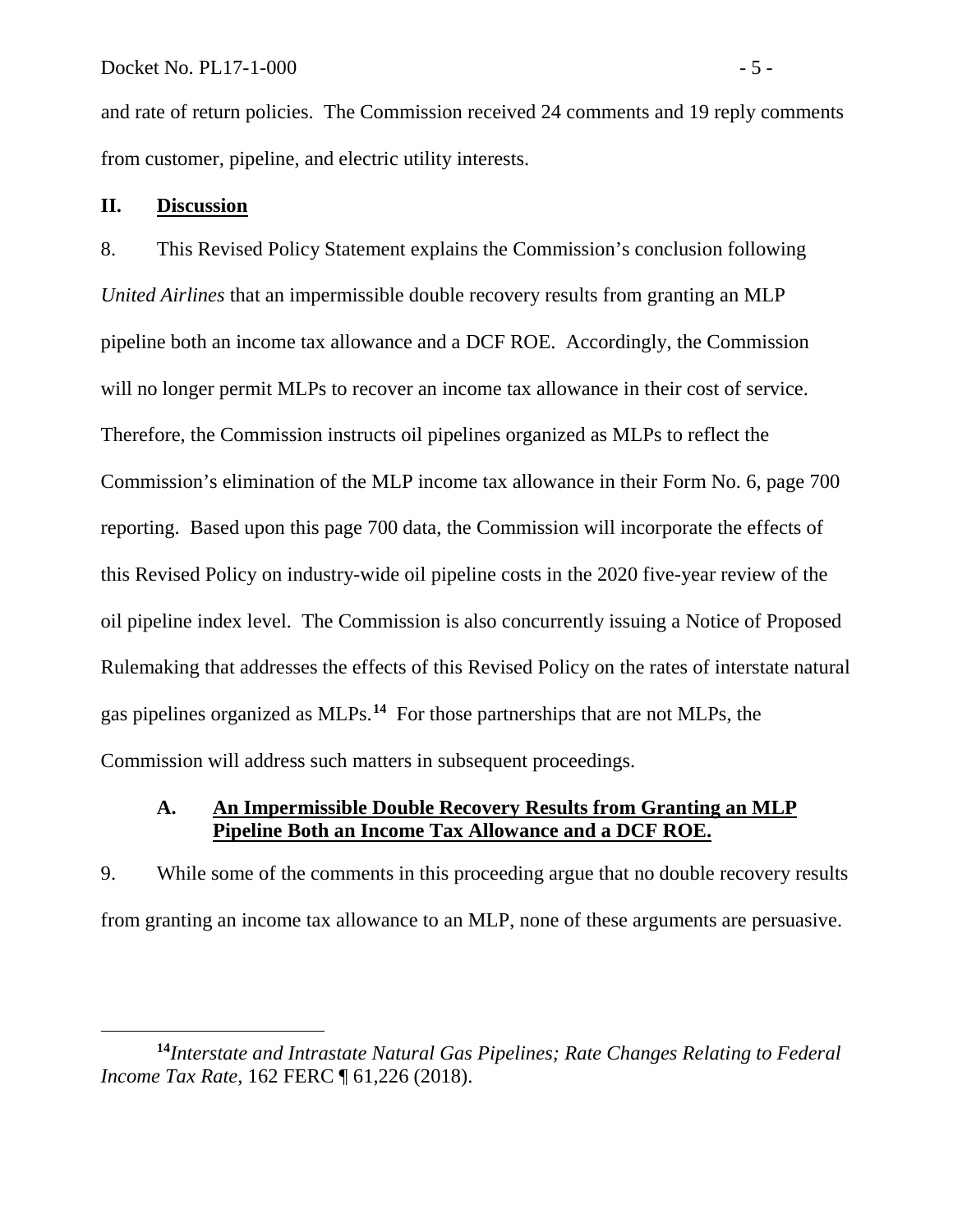and rate of return policies. The Commission received 24 comments and 19 reply comments from customer, pipeline, and electric utility interests.

### **II. Discussion**

 $\overline{a}$ 

8. This Revised Policy Statement explains the Commission's conclusion following *United Airlines* that an impermissible double recovery results from granting an MLP pipeline both an income tax allowance and a DCF ROE. Accordingly, the Commission will no longer permit MLPs to recover an income tax allowance in their cost of service. Therefore, the Commission instructs oil pipelines organized as MLPs to reflect the Commission's elimination of the MLP income tax allowance in their Form No. 6, page 700 reporting. Based upon this page 700 data, the Commission will incorporate the effects of this Revised Policy on industry-wide oil pipeline costs in the 2020 five-year review of the oil pipeline index level. The Commission is also concurrently issuing a Notice of Proposed Rulemaking that addresses the effects of this Revised Policy on the rates of interstate natural gas pipelines organized as MLPs. **[14](#page-6-0)** For those partnerships that are not MLPs, the Commission will address such matters in subsequent proceedings.

#### **A. An Impermissible Double Recovery Results from Granting an MLP Pipeline Both an Income Tax Allowance and a DCF ROE.**

9. While some of the comments in this proceeding argue that no double recovery results from granting an income tax allowance to an MLP, none of these arguments are persuasive.

<span id="page-6-0"></span>**<sup>14</sup>***Interstate and Intrastate Natural Gas Pipelines; Rate Changes Relating to Federal Income Tax Rate*, 162 FERC ¶ 61,226 (2018).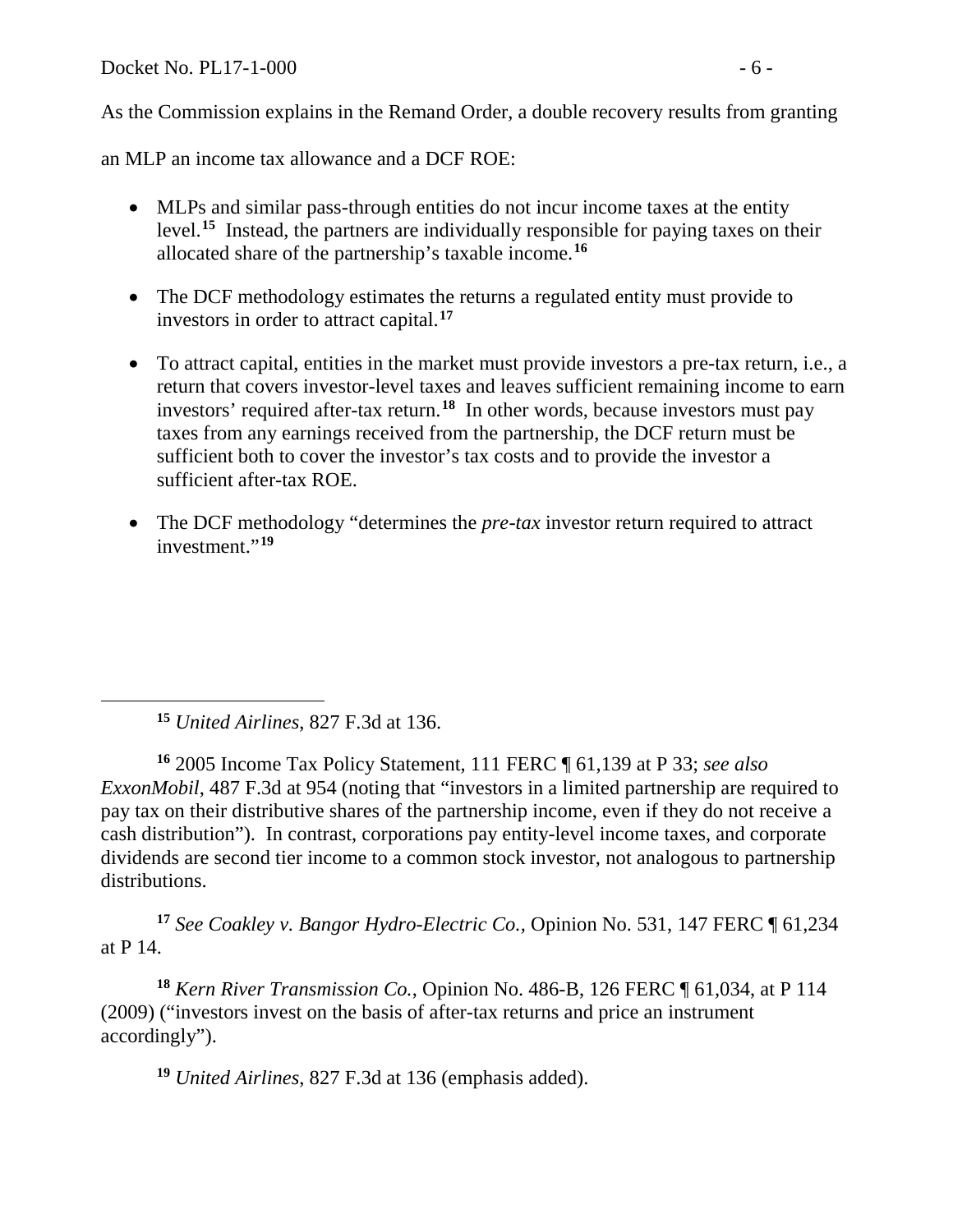Docket No. PL17-1-000 - 6 -

As the Commission explains in the Remand Order, a double recovery results from granting

an MLP an income tax allowance and a DCF ROE:

- MLPs and similar pass-through entities do not incur income taxes at the entity level.**[15](#page-7-0)** Instead, the partners are individually responsible for paying taxes on their allocated share of the partnership's taxable income.**[16](#page-7-1)**
- The DCF methodology estimates the returns a regulated entity must provide to investors in order to attract capital.**[17](#page-7-2)**
- To attract capital, entities in the market must provide investors a pre-tax return, i.e., a return that covers investor-level taxes and leaves sufficient remaining income to earn investors' required after-tax return.**[18](#page-7-3)** In other words, because investors must pay taxes from any earnings received from the partnership, the DCF return must be sufficient both to cover the investor's tax costs and to provide the investor a sufficient after-tax ROE.
- The DCF methodology "determines the *pre-tax* investor return required to attract investment."**[19](#page-7-4)**

**<sup>15</sup>** *United Airlines*, 827 F.3d at 136.

<span id="page-7-0"></span> $\overline{a}$ 

<span id="page-7-1"></span>**<sup>16</sup>** 2005 Income Tax Policy Statement, 111 FERC ¶ 61,139 at P 33; *see also ExxonMobil*, 487 F.3d at 954 (noting that "investors in a limited partnership are required to pay tax on their distributive shares of the partnership income, even if they do not receive a cash distribution"). In contrast, corporations pay entity-level income taxes, and corporate dividends are second tier income to a common stock investor, not analogous to partnership distributions.

<span id="page-7-2"></span>**<sup>17</sup>** *See Coakley v. Bangor Hydro-Electric Co.,* Opinion No. 531, 147 FERC ¶ 61,234 at P 14.

<span id="page-7-4"></span><span id="page-7-3"></span>**<sup>18</sup>** *Kern River Transmission Co.*, Opinion No. 486-B, 126 FERC ¶ 61,034, at P 114 (2009) ("investors invest on the basis of after-tax returns and price an instrument accordingly").

**<sup>19</sup>** *United Airlines*, 827 F.3d at 136 (emphasis added).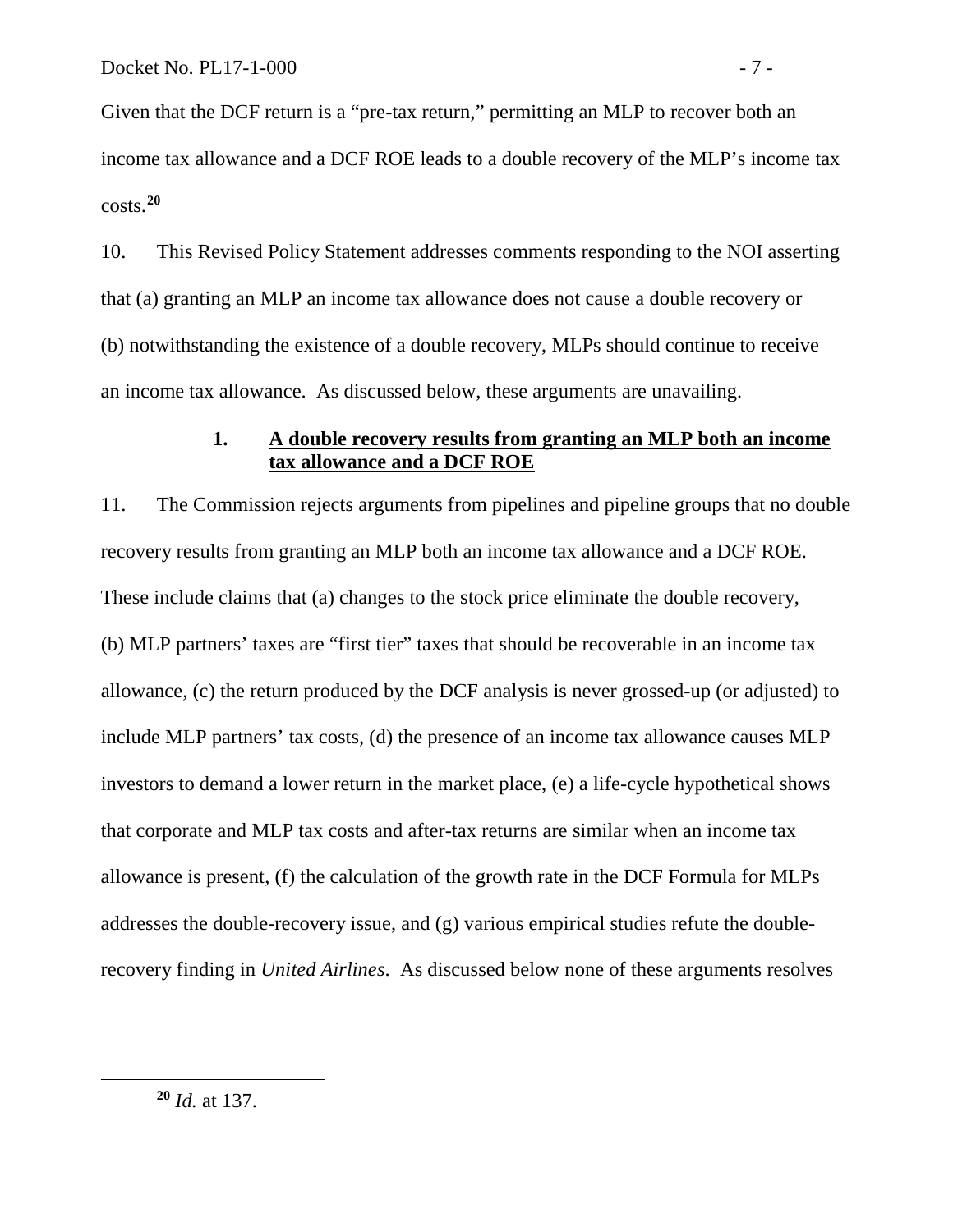Given that the DCF return is a "pre-tax return," permitting an MLP to recover both an income tax allowance and a DCF ROE leads to a double recovery of the MLP's income tax costs.**[20](#page-8-0)**

10. This Revised Policy Statement addresses comments responding to the NOI asserting that (a) granting an MLP an income tax allowance does not cause a double recovery or (b) notwithstanding the existence of a double recovery, MLPs should continue to receive an income tax allowance. As discussed below, these arguments are unavailing.

### **1. A double recovery results from granting an MLP both an income tax allowance and a DCF ROE**

11. The Commission rejects arguments from pipelines and pipeline groups that no double recovery results from granting an MLP both an income tax allowance and a DCF ROE. These include claims that (a) changes to the stock price eliminate the double recovery, (b) MLP partners' taxes are "first tier" taxes that should be recoverable in an income tax allowance, (c) the return produced by the DCF analysis is never grossed-up (or adjusted) to include MLP partners' tax costs, (d) the presence of an income tax allowance causes MLP investors to demand a lower return in the market place, (e) a life-cycle hypothetical shows that corporate and MLP tax costs and after-tax returns are similar when an income tax allowance is present, (f) the calculation of the growth rate in the DCF Formula for MLPs addresses the double-recovery issue, and (g) various empirical studies refute the doublerecovery finding in *United Airlines*. As discussed below none of these arguments resolves

**<sup>20</sup>** *Id.* at 137.

<span id="page-8-0"></span> $\overline{a}$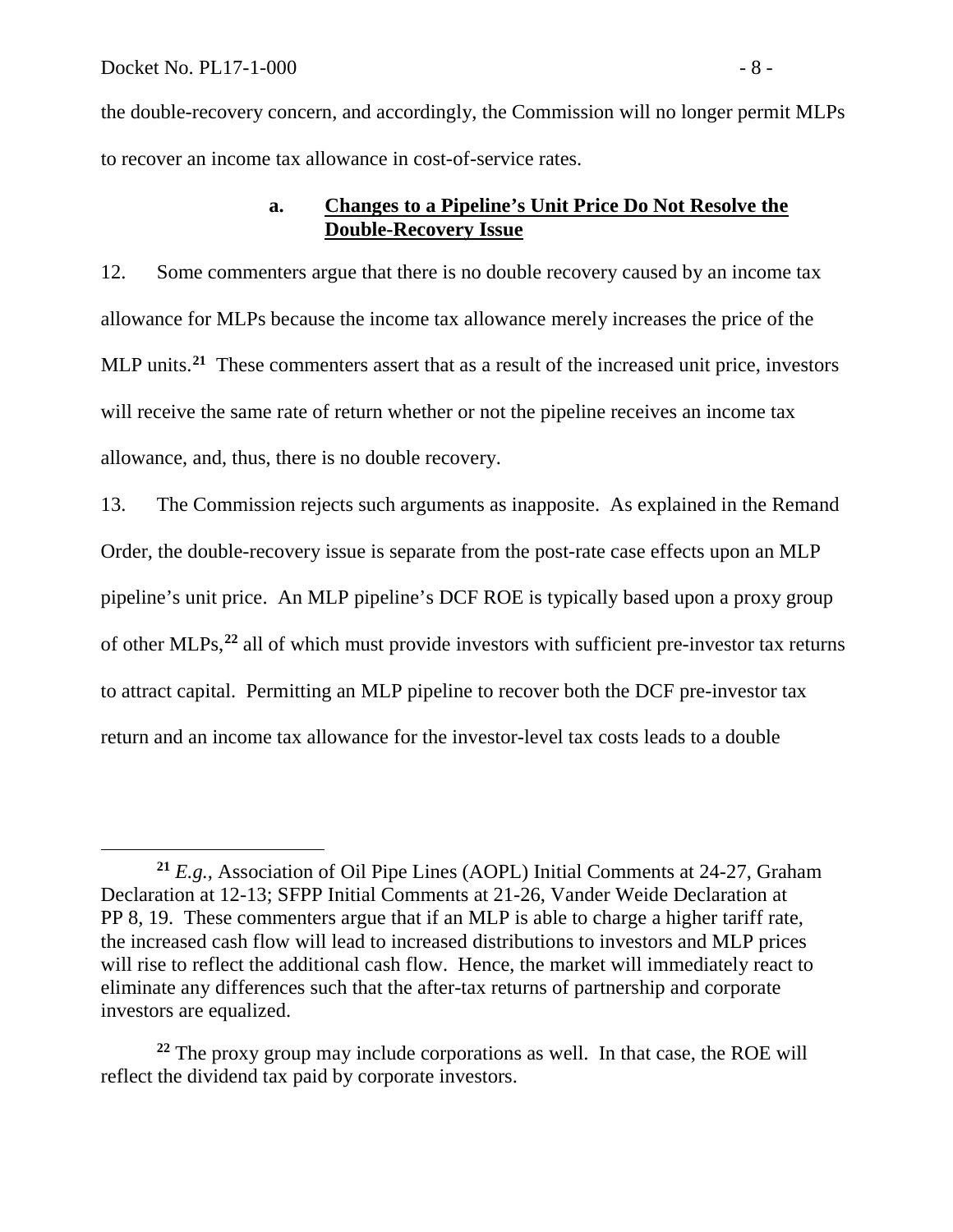the double-recovery concern, and accordingly, the Commission will no longer permit MLPs to recover an income tax allowance in cost-of-service rates.

### **a. Changes to a Pipeline's Unit Price Do Not Resolve the Double-Recovery Issue**

12. Some commenters argue that there is no double recovery caused by an income tax allowance for MLPs because the income tax allowance merely increases the price of the MLP units.**[21](#page-9-0)** These commenters assert that as a result of the increased unit price, investors will receive the same rate of return whether or not the pipeline receives an income tax allowance, and, thus, there is no double recovery.

13. The Commission rejects such arguments as inapposite. As explained in the Remand Order, the double-recovery issue is separate from the post-rate case effects upon an MLP pipeline's unit price. An MLP pipeline's DCF ROE is typically based upon a proxy group of other MLPs,**[22](#page-9-1)** all of which must provide investors with sufficient pre-investor tax returns to attract capital. Permitting an MLP pipeline to recover both the DCF pre-investor tax return and an income tax allowance for the investor-level tax costs leads to a double

<span id="page-9-1"></span>**<sup>22</sup>** The proxy group may include corporations as well. In that case, the ROE will reflect the dividend tax paid by corporate investors.

<span id="page-9-0"></span>**<sup>21</sup>** *E.g.,* Association of Oil Pipe Lines (AOPL) Initial Comments at 24-27, Graham Declaration at 12-13; SFPP Initial Comments at 21-26, Vander Weide Declaration at PP 8, 19. These commenters argue that if an MLP is able to charge a higher tariff rate, the increased cash flow will lead to increased distributions to investors and MLP prices will rise to reflect the additional cash flow. Hence, the market will immediately react to eliminate any differences such that the after-tax returns of partnership and corporate investors are equalized.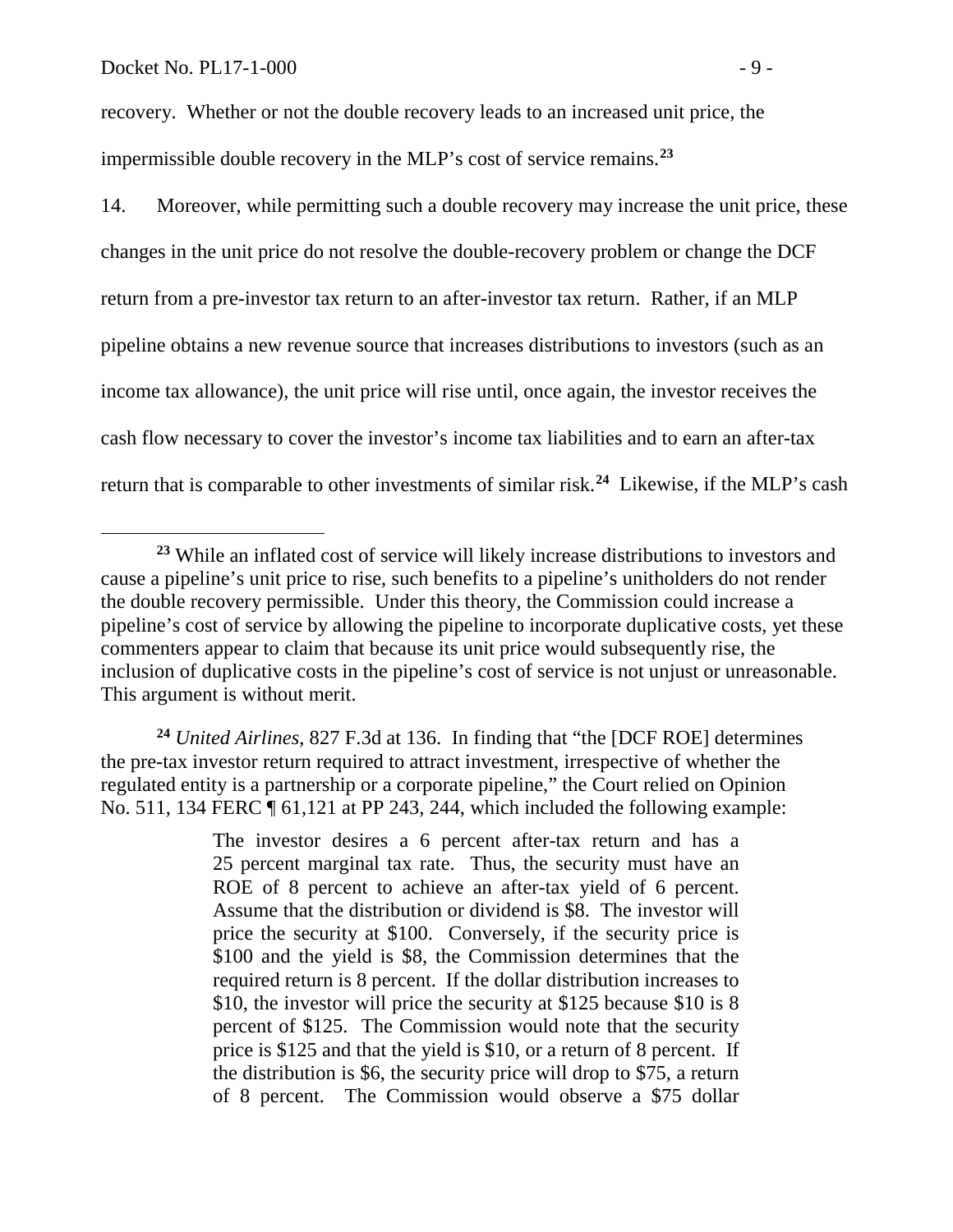recovery. Whether or not the double recovery leads to an increased unit price, the impermissible double recovery in the MLP's cost of service remains.**[23](#page-10-0)**

14. Moreover, while permitting such a double recovery may increase the unit price, these changes in the unit price do not resolve the double-recovery problem or change the DCF return from a pre-investor tax return to an after-investor tax return. Rather, if an MLP pipeline obtains a new revenue source that increases distributions to investors (such as an income tax allowance), the unit price will rise until, once again, the investor receives the cash flow necessary to cover the investor's income tax liabilities and to earn an after-tax return that is comparable to other investments of similar risk.**[24](#page-10-1)** Likewise, if the MLP's cash

<span id="page-10-1"></span>**<sup>24</sup>** *United Airlines*, 827 F.3d at 136. In finding that "the [DCF ROE] determines the pre-tax investor return required to attract investment, irrespective of whether the regulated entity is a partnership or a corporate pipeline," the Court relied on Opinion No. 511, 134 FERC  $\P$  61,121 at PP 243, 244, which included the following example:

> The investor desires a 6 percent after-tax return and has a 25 percent marginal tax rate. Thus, the security must have an ROE of 8 percent to achieve an after-tax yield of 6 percent. Assume that the distribution or dividend is \$8. The investor will price the security at \$100. Conversely, if the security price is \$100 and the yield is \$8, the Commission determines that the required return is 8 percent. If the dollar distribution increases to \$10, the investor will price the security at \$125 because \$10 is 8 percent of \$125. The Commission would note that the security price is \$125 and that the yield is \$10, or a return of 8 percent. If the distribution is \$6, the security price will drop to \$75, a return of 8 percent. The Commission would observe a \$75 dollar

<span id="page-10-0"></span>**<sup>23</sup>** While an inflated cost of service will likely increase distributions to investors and cause a pipeline's unit price to rise, such benefits to a pipeline's unitholders do not render the double recovery permissible. Under this theory, the Commission could increase a pipeline's cost of service by allowing the pipeline to incorporate duplicative costs, yet these commenters appear to claim that because its unit price would subsequently rise, the inclusion of duplicative costs in the pipeline's cost of service is not unjust or unreasonable. This argument is without merit.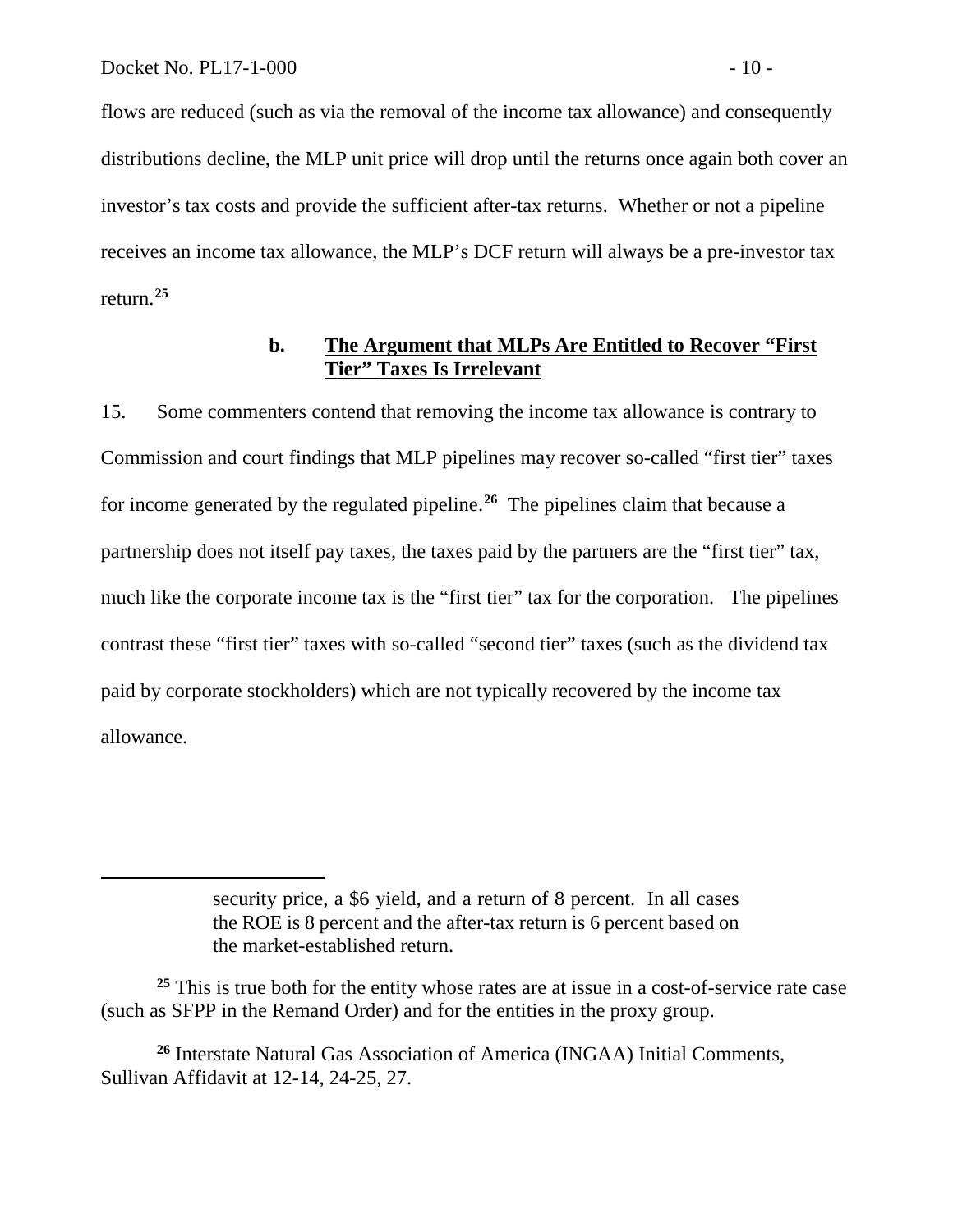flows are reduced (such as via the removal of the income tax allowance) and consequently distributions decline, the MLP unit price will drop until the returns once again both cover an investor's tax costs and provide the sufficient after-tax returns. Whether or not a pipeline receives an income tax allowance, the MLP's DCF return will always be a pre-investor tax return.**[25](#page-11-0)**

### **b. The Argument that MLPs Are Entitled to Recover "First Tier" Taxes Is Irrelevant**

15. Some commenters contend that removing the income tax allowance is contrary to Commission and court findings that MLP pipelines may recover so-called "first tier" taxes for income generated by the regulated pipeline.**[26](#page-11-1)** The pipelines claim that because a partnership does not itself pay taxes, the taxes paid by the partners are the "first tier" tax, much like the corporate income tax is the "first tier" tax for the corporation. The pipelines contrast these "first tier" taxes with so-called "second tier" taxes (such as the dividend tax paid by corporate stockholders) which are not typically recovered by the income tax allowance.

<span id="page-11-0"></span><sup>25</sup> This is true both for the entity whose rates are at issue in a cost-of-service rate case (such as SFPP in the Remand Order) and for the entities in the proxy group.

<span id="page-11-1"></span>**<sup>26</sup>** Interstate Natural Gas Association of America (INGAA) Initial Comments, Sullivan Affidavit at 12-14, 24-25, 27.

security price, a \$6 yield, and a return of 8 percent. In all cases the ROE is 8 percent and the after-tax return is 6 percent based on the market-established return.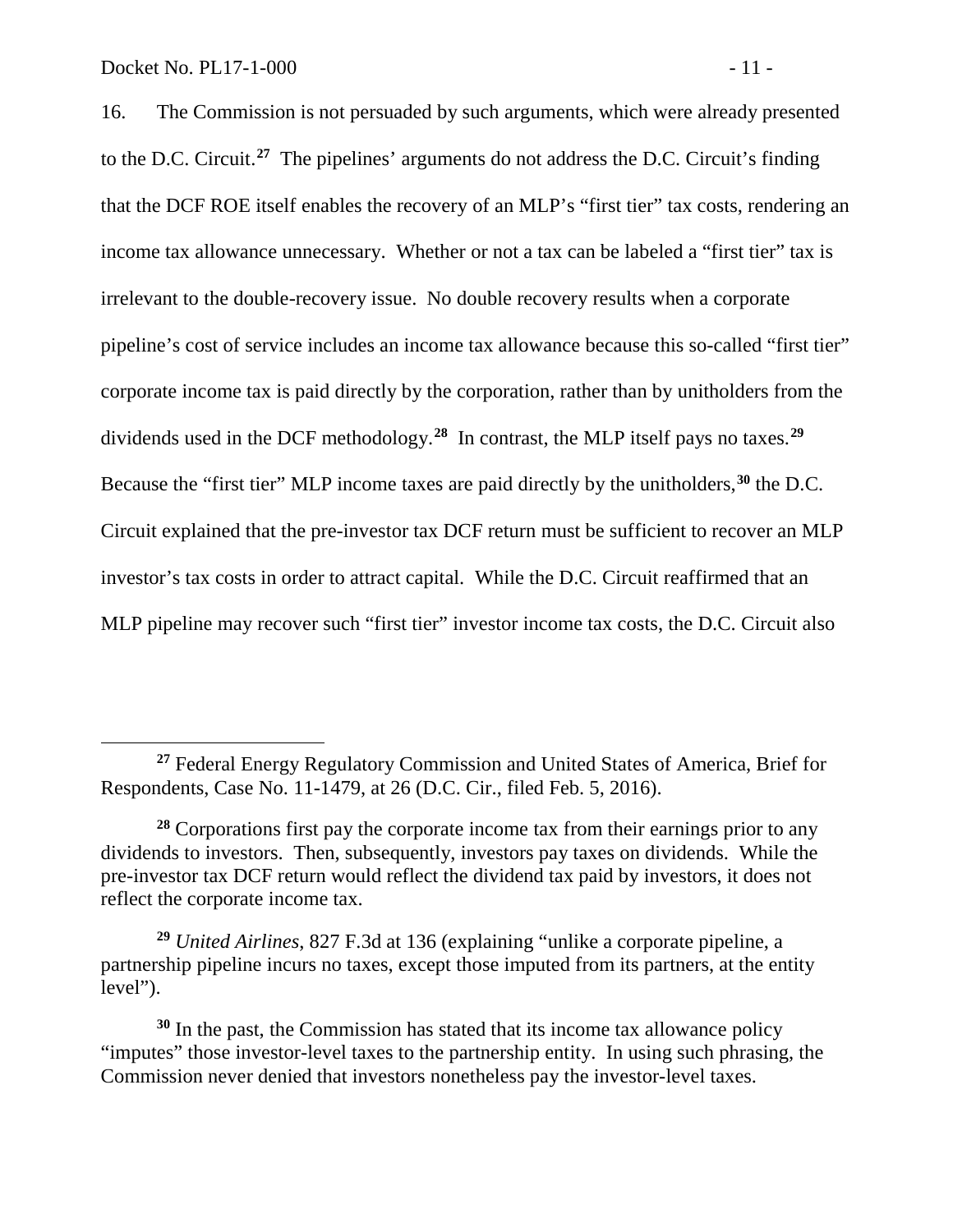16. The Commission is not persuaded by such arguments, which were already presented to the D.C. Circuit.**[27](#page-12-0)** The pipelines' arguments do not address the D.C. Circuit's finding that the DCF ROE itself enables the recovery of an MLP's "first tier" tax costs, rendering an income tax allowance unnecessary. Whether or not a tax can be labeled a "first tier" tax is irrelevant to the double-recovery issue. No double recovery results when a corporate pipeline's cost of service includes an income tax allowance because this so-called "first tier" corporate income tax is paid directly by the corporation, rather than by unitholders from the dividends used in the DCF methodology.**[28](#page-12-1)** In contrast, the MLP itself pays no taxes.**[29](#page-12-2)** Because the "first tier" MLP income taxes are paid directly by the unitholders,**[30](#page-12-3)** the D.C. Circuit explained that the pre-investor tax DCF return must be sufficient to recover an MLP investor's tax costs in order to attract capital. While the D.C. Circuit reaffirmed that an MLP pipeline may recover such "first tier" investor income tax costs, the D.C. Circuit also

<span id="page-12-2"></span>**<sup>29</sup>** *United Airlines*, 827 F.3d at 136 (explaining "unlike a corporate pipeline, a partnership pipeline incurs no taxes, except those imputed from its partners, at the entity level").

<span id="page-12-3"></span>**<sup>30</sup>** In the past, the Commission has stated that its income tax allowance policy "imputes" those investor-level taxes to the partnership entity. In using such phrasing, the Commission never denied that investors nonetheless pay the investor-level taxes.

<span id="page-12-0"></span>**<sup>27</sup>** Federal Energy Regulatory Commission and United States of America, Brief for Respondents, Case No. 11-1479, at 26 (D.C. Cir., filed Feb. 5, 2016).

<span id="page-12-1"></span>**<sup>28</sup>** Corporations first pay the corporate income tax from their earnings prior to any dividends to investors. Then, subsequently, investors pay taxes on dividends. While the pre-investor tax DCF return would reflect the dividend tax paid by investors, it does not reflect the corporate income tax.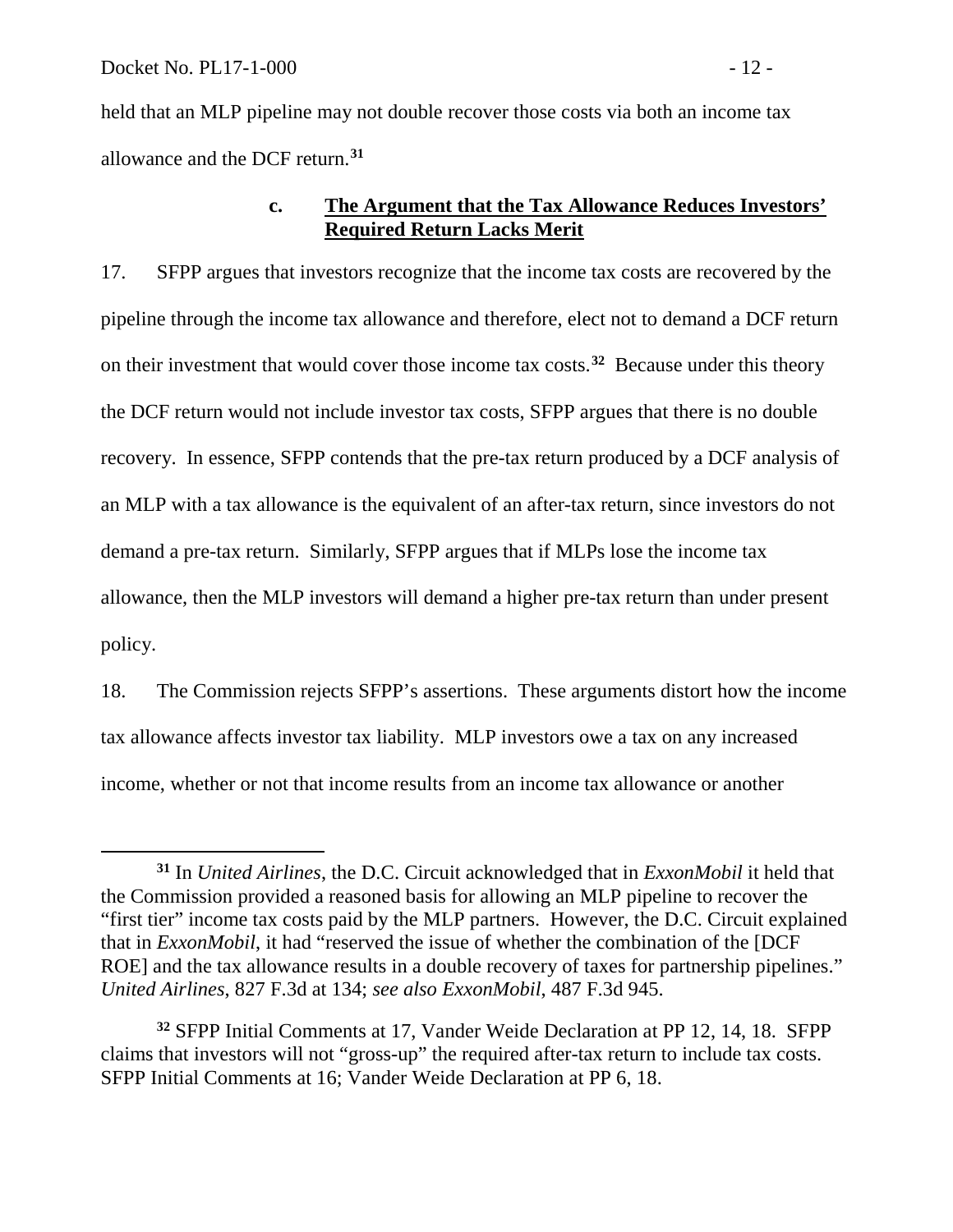held that an MLP pipeline may not double recover those costs via both an income tax allowance and the DCF return.**[31](#page-13-0)** 

### **c. The Argument that the Tax Allowance Reduces Investors' Required Return Lacks Merit**

17. SFPP argues that investors recognize that the income tax costs are recovered by the pipeline through the income tax allowance and therefore, elect not to demand a DCF return on their investment that would cover those income tax costs.**[32](#page-13-1)** Because under this theory the DCF return would not include investor tax costs, SFPP argues that there is no double recovery. In essence, SFPP contends that the pre-tax return produced by a DCF analysis of an MLP with a tax allowance is the equivalent of an after-tax return, since investors do not demand a pre-tax return. Similarly, SFPP argues that if MLPs lose the income tax allowance, then the MLP investors will demand a higher pre-tax return than under present policy.

18. The Commission rejects SFPP's assertions. These arguments distort how the income tax allowance affects investor tax liability. MLP investors owe a tax on any increased income, whether or not that income results from an income tax allowance or another

<span id="page-13-0"></span>**<sup>31</sup>** In *United Airlines*, the D.C. Circuit acknowledged that in *ExxonMobil* it held that the Commission provided a reasoned basis for allowing an MLP pipeline to recover the "first tier" income tax costs paid by the MLP partners. However, the D.C. Circuit explained that in *ExxonMobil*, it had "reserved the issue of whether the combination of the [DCF ROE] and the tax allowance results in a double recovery of taxes for partnership pipelines." *United Airlines*, 827 F.3d at 134; *see also ExxonMobil*, 487 F.3d 945.

<span id="page-13-1"></span>**<sup>32</sup>** SFPP Initial Comments at 17, Vander Weide Declaration at PP 12, 14, 18. SFPP claims that investors will not "gross-up" the required after-tax return to include tax costs. SFPP Initial Comments at 16; Vander Weide Declaration at PP 6, 18.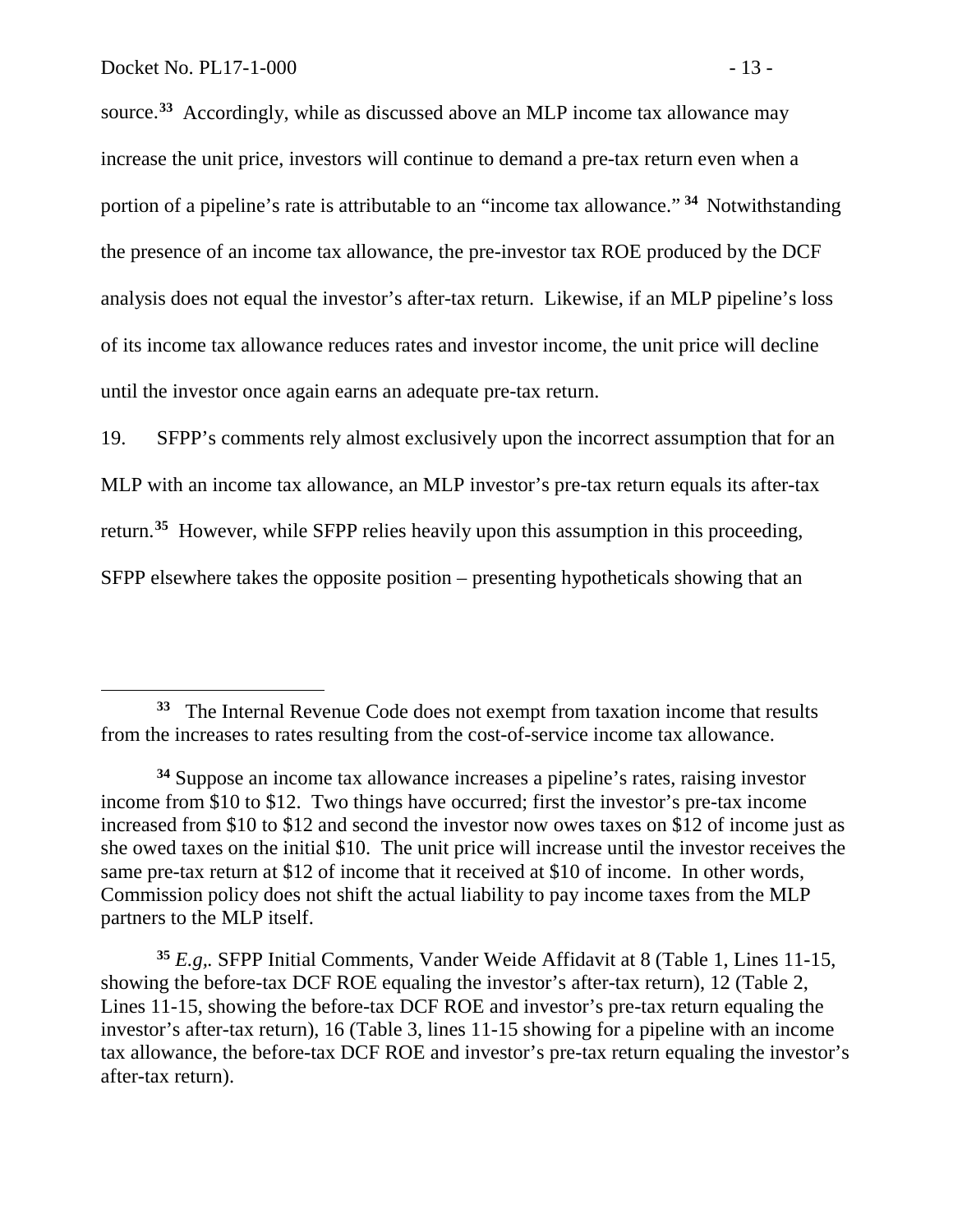source. **[33](#page-14-0)** Accordingly, while as discussed above an MLP income tax allowance may increase the unit price, investors will continue to demand a pre-tax return even when a portion of a pipeline's rate is attributable to an "income tax allowance." **[34](#page-14-1)** Notwithstanding the presence of an income tax allowance, the pre-investor tax ROE produced by the DCF analysis does not equal the investor's after-tax return. Likewise, if an MLP pipeline's loss of its income tax allowance reduces rates and investor income, the unit price will decline until the investor once again earns an adequate pre-tax return.

19. SFPP's comments rely almost exclusively upon the incorrect assumption that for an MLP with an income tax allowance, an MLP investor's pre-tax return equals its after-tax return.**[35](#page-14-2)** However, while SFPP relies heavily upon this assumption in this proceeding, SFPP elsewhere takes the opposite position – presenting hypotheticals showing that an

<span id="page-14-0"></span>**<sup>33</sup>** The Internal Revenue Code does not exempt from taxation income that results from the increases to rates resulting from the cost-of-service income tax allowance.

<span id="page-14-1"></span>**<sup>34</sup>** Suppose an income tax allowance increases a pipeline's rates, raising investor income from \$10 to \$12. Two things have occurred; first the investor's pre-tax income increased from \$10 to \$12 and second the investor now owes taxes on \$12 of income just as she owed taxes on the initial \$10. The unit price will increase until the investor receives the same pre-tax return at \$12 of income that it received at \$10 of income. In other words, Commission policy does not shift the actual liability to pay income taxes from the MLP partners to the MLP itself.

<span id="page-14-2"></span>**<sup>35</sup>** *E.g,.* SFPP Initial Comments, Vander Weide Affidavit at 8 (Table 1, Lines 11-15, showing the before-tax DCF ROE equaling the investor's after-tax return), 12 (Table 2, Lines 11-15, showing the before-tax DCF ROE and investor's pre-tax return equaling the investor's after-tax return), 16 (Table 3, lines 11-15 showing for a pipeline with an income tax allowance, the before-tax DCF ROE and investor's pre-tax return equaling the investor's after-tax return).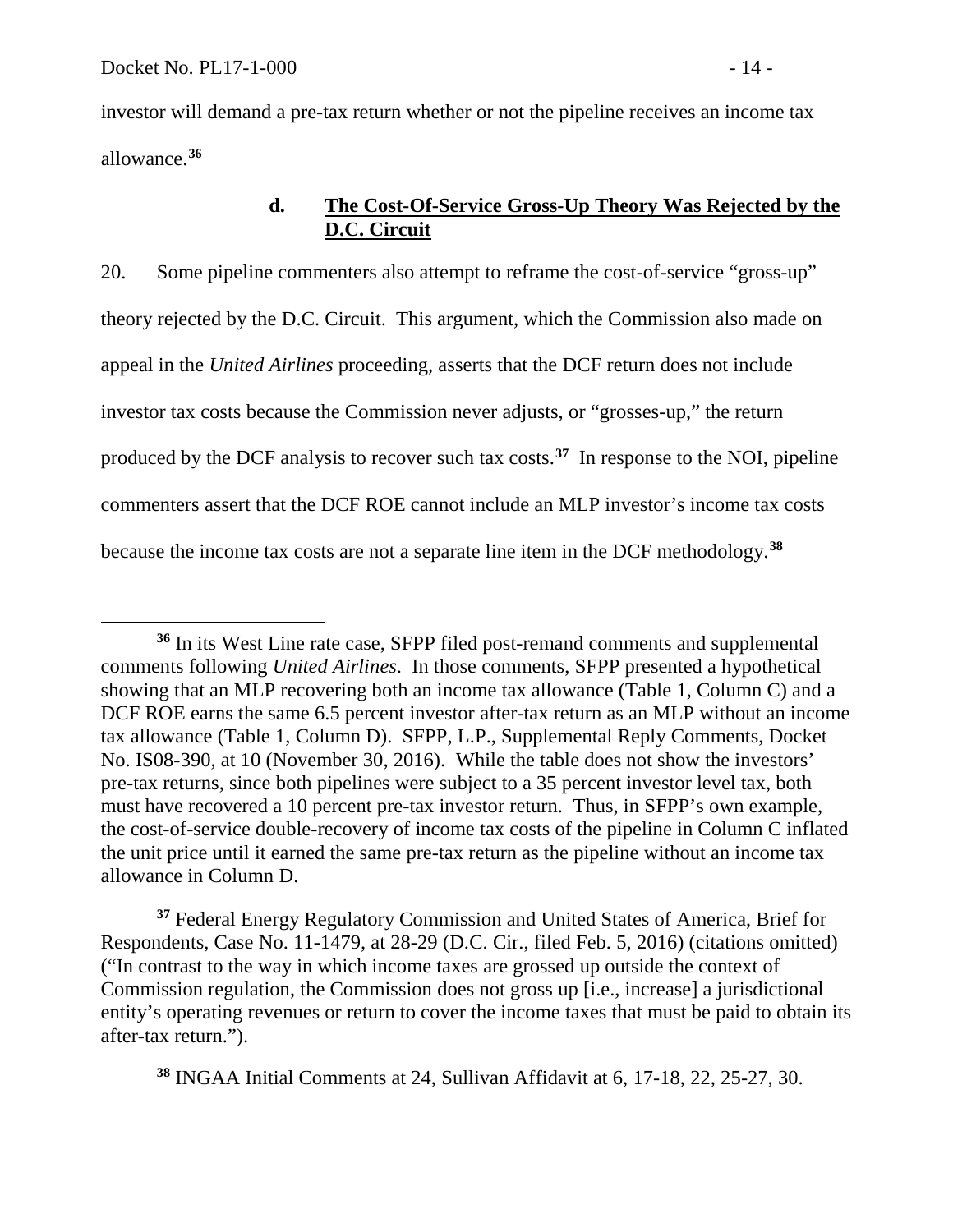investor will demand a pre-tax return whether or not the pipeline receives an income tax allowance.**[36](#page-15-0)**

# **d. The Cost-Of-Service Gross-Up Theory Was Rejected by the D.C. Circuit**

20. Some pipeline commenters also attempt to reframe the cost-of-service "gross-up" theory rejected by the D.C. Circuit. This argument, which the Commission also made on appeal in the *United Airlines* proceeding, asserts that the DCF return does not include investor tax costs because the Commission never adjusts, or "grosses-up," the return produced by the DCF analysis to recover such tax costs.**[37](#page-15-1)** In response to the NOI, pipeline commenters assert that the DCF ROE cannot include an MLP investor's income tax costs because the income tax costs are not a separate line item in the DCF methodology.**[38](#page-15-2)** 

<span id="page-15-1"></span>**<sup>37</sup>** Federal Energy Regulatory Commission and United States of America, Brief for Respondents, Case No. 11-1479, at 28-29 (D.C. Cir., filed Feb. 5, 2016) (citations omitted) ("In contrast to the way in which income taxes are grossed up outside the context of Commission regulation, the Commission does not gross up [i.e., increase] a jurisdictional entity's operating revenues or return to cover the income taxes that must be paid to obtain its after-tax return.").

<span id="page-15-2"></span>**<sup>38</sup>** INGAA Initial Comments at 24, Sullivan Affidavit at 6, 17-18, 22, 25-27, 30.

<span id="page-15-0"></span> $\overline{a}$ **<sup>36</sup>** In its West Line rate case, SFPP filed post-remand comments and supplemental comments following *United Airlines*.In those comments, SFPP presented a hypothetical showing that an MLP recovering both an income tax allowance (Table 1, Column C) and a DCF ROE earns the same 6.5 percent investor after-tax return as an MLP without an income tax allowance (Table 1, Column D). SFPP, L.P., Supplemental Reply Comments, Docket No. IS08-390, at 10 (November 30, 2016). While the table does not show the investors' pre-tax returns, since both pipelines were subject to a 35 percent investor level tax, both must have recovered a 10 percent pre-tax investor return. Thus, in SFPP's own example, the cost-of-service double-recovery of income tax costs of the pipeline in Column C inflated the unit price until it earned the same pre-tax return as the pipeline without an income tax allowance in Column D.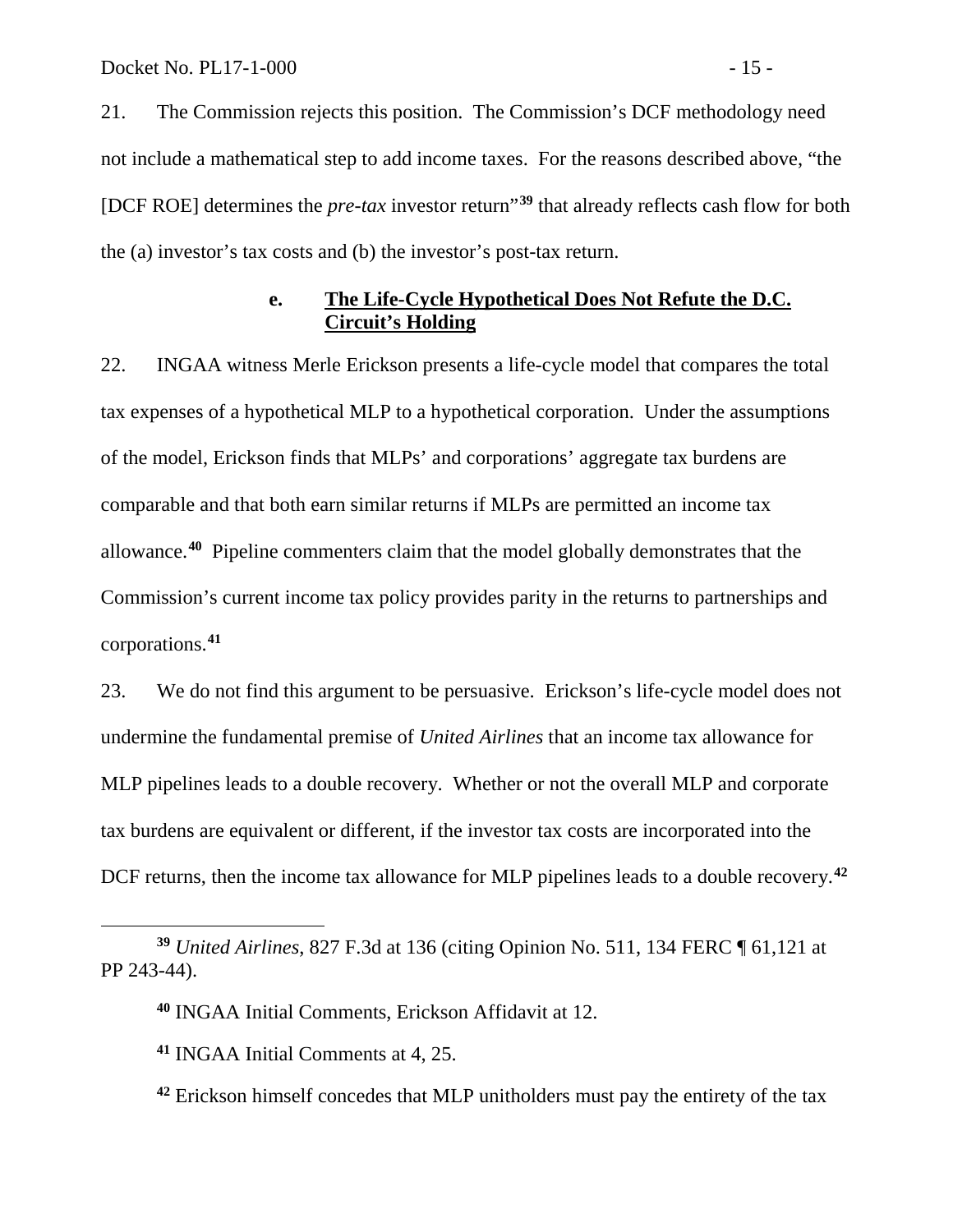21. The Commission rejects this position. The Commission's DCF methodology need not include a mathematical step to add income taxes. For the reasons described above, "the [DCF ROE] determines the *pre-tax* investor return"**[39](#page-16-0)** that already reflects cash flow for both the (a) investor's tax costs and (b) the investor's post-tax return.

### **e. The Life-Cycle Hypothetical Does Not Refute the D.C. Circuit's Holding**

22. INGAA witness Merle Erickson presents a life-cycle model that compares the total tax expenses of a hypothetical MLP to a hypothetical corporation. Under the assumptions of the model, Erickson finds that MLPs' and corporations' aggregate tax burdens are comparable and that both earn similar returns if MLPs are permitted an income tax allowance.**[40](#page-16-1)** Pipeline commenters claim that the model globally demonstrates that the Commission's current income tax policy provides parity in the returns to partnerships and corporations.**[41](#page-16-2)** 

23. We do not find this argument to be persuasive. Erickson's life-cycle model does not undermine the fundamental premise of *United Airlines* that an income tax allowance for MLP pipelines leads to a double recovery. Whether or not the overall MLP and corporate tax burdens are equivalent or different, if the investor tax costs are incorporated into the DCF returns, then the income tax allowance for MLP pipelines leads to a double recovery.**[42](#page-16-3)**

 $\overline{a}$ 

<span id="page-16-2"></span><span id="page-16-1"></span><span id="page-16-0"></span>**<sup>39</sup>** *United Airlines*, 827 F.3d at 136 (citing Opinion No. 511, 134 FERC ¶ 61,121 at PP 243-44).

**<sup>40</sup>** INGAA Initial Comments, Erickson Affidavit at 12.

**<sup>41</sup>** INGAA Initial Comments at 4, 25.

<span id="page-16-3"></span>**<sup>42</sup>** Erickson himself concedes that MLP unitholders must pay the entirety of the tax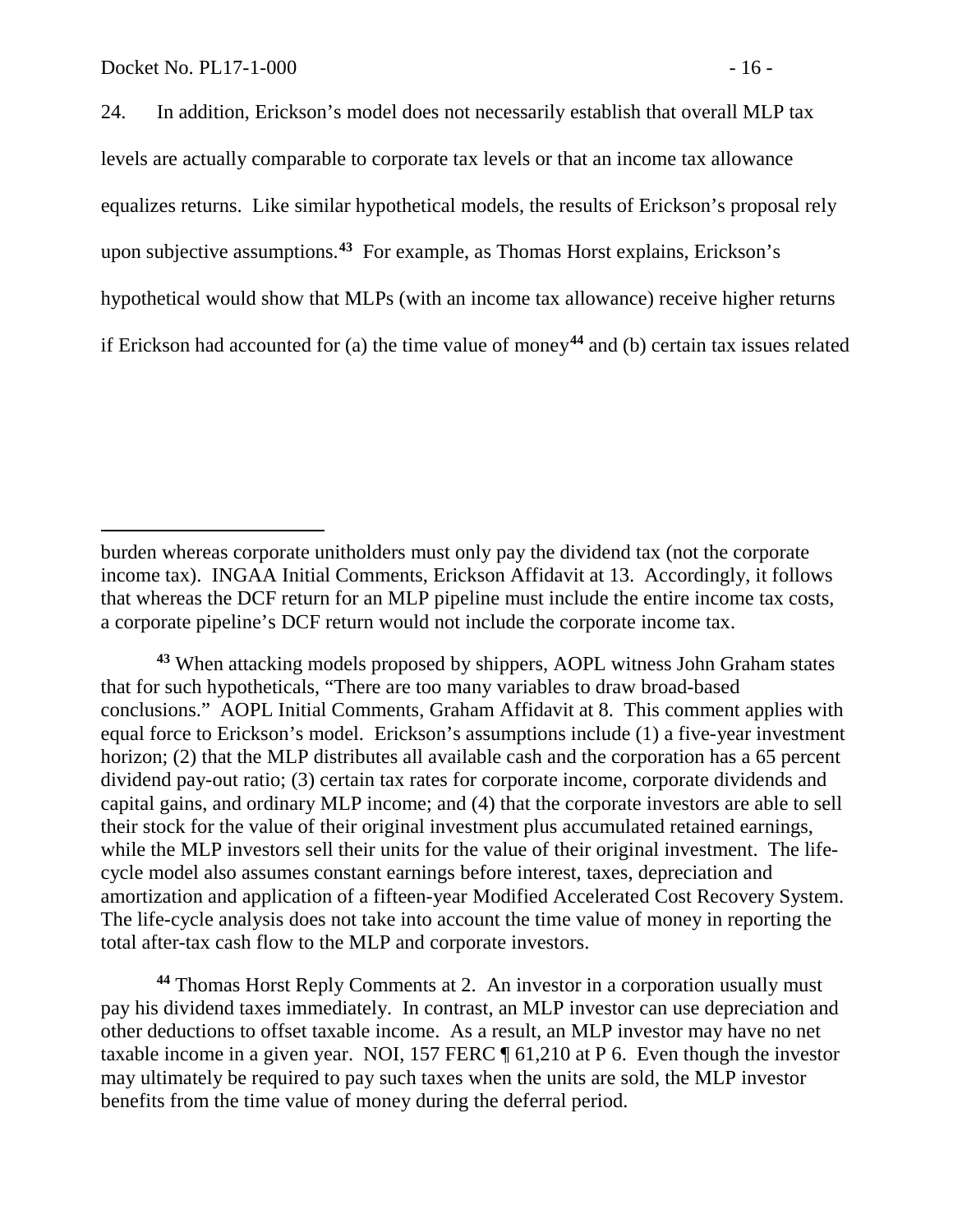levels are actually comparable to corporate tax levels or that an income tax allowance equalizes returns. Like similar hypothetical models, the results of Erickson's proposal rely upon subjective assumptions.**[43](#page-17-0)** For example, as Thomas Horst explains, Erickson's hypothetical would show that MLPs (with an income tax allowance) receive higher returns if Erickson had accounted for (a) the time value of money**[44](#page-17-1)** and (b) certain tax issues related

<span id="page-17-0"></span>**<sup>43</sup>** When attacking models proposed by shippers, AOPL witness John Graham states that for such hypotheticals, "There are too many variables to draw broad-based conclusions." AOPL Initial Comments, Graham Affidavit at 8. This comment applies with equal force to Erickson's model. Erickson's assumptions include (1) a five-year investment horizon; (2) that the MLP distributes all available cash and the corporation has a 65 percent dividend pay-out ratio; (3) certain tax rates for corporate income, corporate dividends and capital gains, and ordinary MLP income; and (4) that the corporate investors are able to sell their stock for the value of their original investment plus accumulated retained earnings, while the MLP investors sell their units for the value of their original investment. The lifecycle model also assumes constant earnings before interest, taxes, depreciation and amortization and application of a fifteen-year Modified Accelerated Cost Recovery System. The life-cycle analysis does not take into account the time value of money in reporting the total after-tax cash flow to the MLP and corporate investors.

<span id="page-17-1"></span>**<sup>44</sup>** Thomas Horst Reply Comments at 2. An investor in a corporation usually must pay his dividend taxes immediately. In contrast, an MLP investor can use depreciation and other deductions to offset taxable income. As a result, an MLP investor may have no net taxable income in a given year. NOI, 157 FERC ¶ 61,210 at P 6. Even though the investor may ultimately be required to pay such taxes when the units are sold, the MLP investor benefits from the time value of money during the deferral period.

burden whereas corporate unitholders must only pay the dividend tax (not the corporate income tax). INGAA Initial Comments, Erickson Affidavit at 13. Accordingly, it follows that whereas the DCF return for an MLP pipeline must include the entire income tax costs, a corporate pipeline's DCF return would not include the corporate income tax.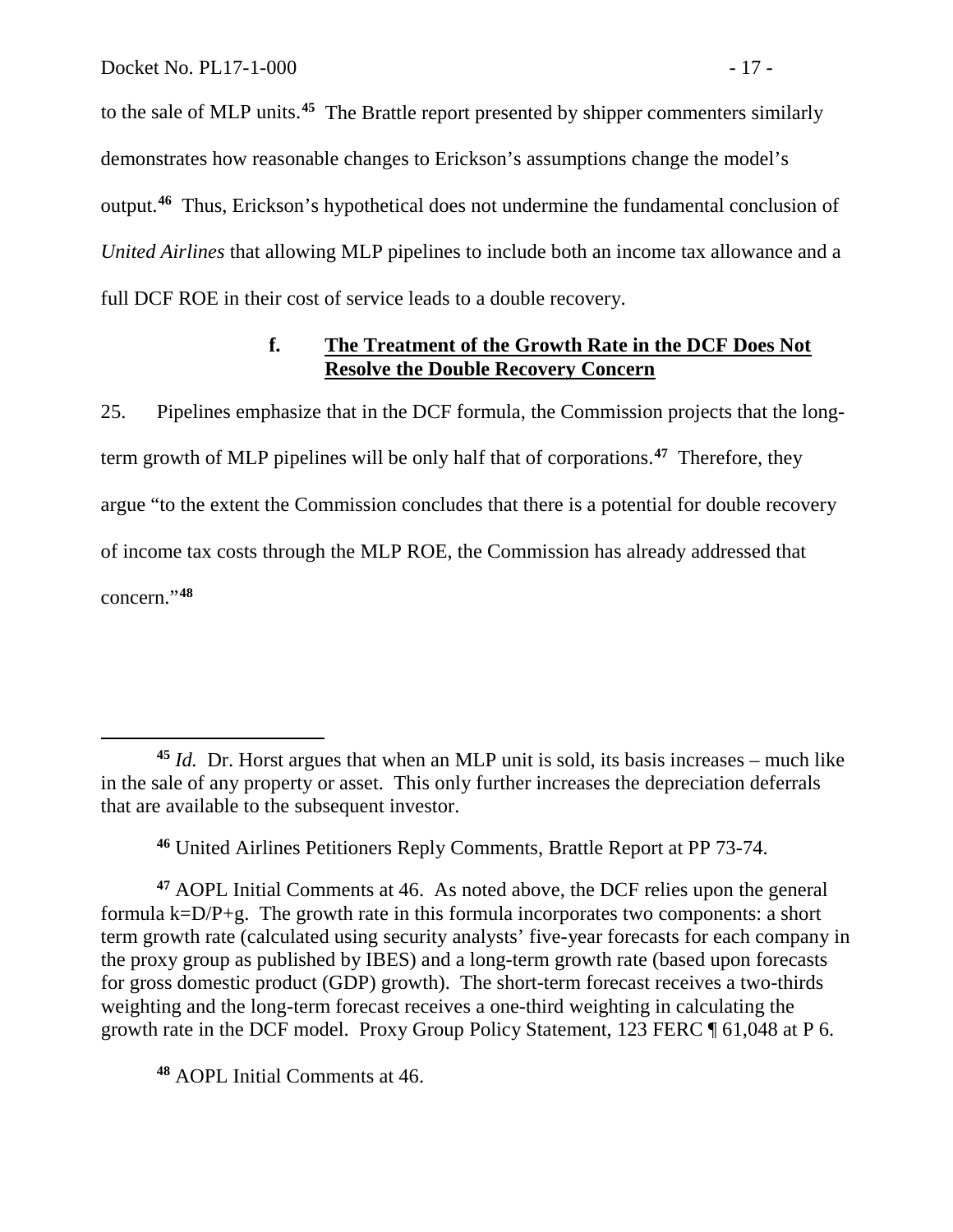to the sale of MLP units.**[45](#page-18-0)** The Brattle report presented by shipper commenters similarly demonstrates how reasonable changes to Erickson's assumptions change the model's output.**[46](#page-18-1)** Thus, Erickson's hypothetical does not undermine the fundamental conclusion of *United Airlines* that allowing MLP pipelines to include both an income tax allowance and a full DCF ROE in their cost of service leads to a double recovery.

## **f. The Treatment of the Growth Rate in the DCF Does Not Resolve the Double Recovery Concern**

25. Pipelines emphasize that in the DCF formula, the Commission projects that the longterm growth of MLP pipelines will be only half that of corporations.**[47](#page-18-2)** Therefore, they argue "to the extent the Commission concludes that there is a potential for double recovery of income tax costs through the MLP ROE, the Commission has already addressed that concern."**[48](#page-18-3)**

**<sup>46</sup>** United Airlines Petitioners Reply Comments, Brattle Report at PP 73-74.

<span id="page-18-2"></span><span id="page-18-1"></span>**<sup>47</sup>** AOPL Initial Comments at 46. As noted above, the DCF relies upon the general formula k=D/P+g. The growth rate in this formula incorporates two components: a short term growth rate (calculated using security analysts' five-year forecasts for each company in the proxy group as published by IBES) and a long-term growth rate (based upon forecasts for gross domestic product (GDP) growth). The short-term forecast receives a two-thirds weighting and the long-term forecast receives a one-third weighting in calculating the growth rate in the DCF model. Proxy Group Policy Statement, 123 FERC ¶ 61,048 at P 6.

<span id="page-18-3"></span>**<sup>48</sup>** AOPL Initial Comments at 46.

<span id="page-18-0"></span> $\overline{a}$ **<sup>45</sup>** *Id.* Dr. Horst argues that when an MLP unit is sold, its basis increases – much like in the sale of any property or asset. This only further increases the depreciation deferrals that are available to the subsequent investor.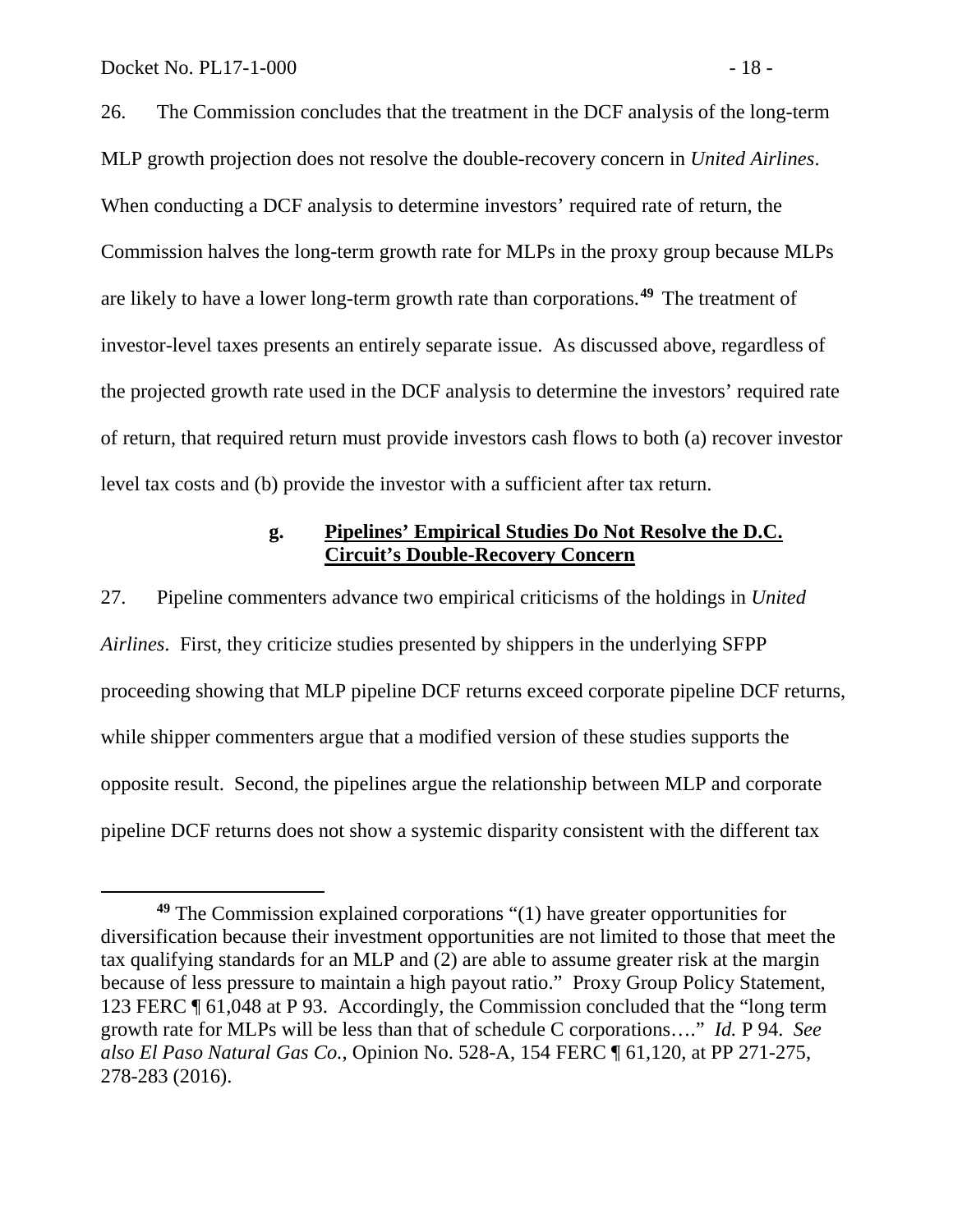26. The Commission concludes that the treatment in the DCF analysis of the long-term MLP growth projection does not resolve the double-recovery concern in *United Airlines*. When conducting a DCF analysis to determine investors' required rate of return, the Commission halves the long-term growth rate for MLPs in the proxy group because MLPs are likely to have a lower long-term growth rate than corporations.**[49](#page-19-0)** The treatment of investor-level taxes presents an entirely separate issue. As discussed above, regardless of the projected growth rate used in the DCF analysis to determine the investors' required rate of return, that required return must provide investors cash flows to both (a) recover investor level tax costs and (b) provide the investor with a sufficient after tax return.

### **g. Pipelines' Empirical Studies Do Not Resolve the D.C. Circuit's Double-Recovery Concern**

27. Pipeline commenters advance two empirical criticisms of the holdings in *United Airlines*. First, they criticize studies presented by shippers in the underlying SFPP proceeding showing that MLP pipeline DCF returns exceed corporate pipeline DCF returns, while shipper commenters argue that a modified version of these studies supports the opposite result. Second, the pipelines argue the relationship between MLP and corporate pipeline DCF returns does not show a systemic disparity consistent with the different tax

<span id="page-19-0"></span>**<sup>49</sup>** The Commission explained corporations "(1) have greater opportunities for diversification because their investment opportunities are not limited to those that meet the tax qualifying standards for an MLP and (2) are able to assume greater risk at the margin because of less pressure to maintain a high payout ratio." Proxy Group Policy Statement*,*  123 FERC ¶ 61,048 at P 93. Accordingly, the Commission concluded that the "long term growth rate for MLPs will be less than that of schedule C corporations…." *Id.* P 94. *See also El Paso Natural Gas Co.*, Opinion No. 528-A, 154 FERC ¶ 61,120, at PP 271-275, 278-283 (2016).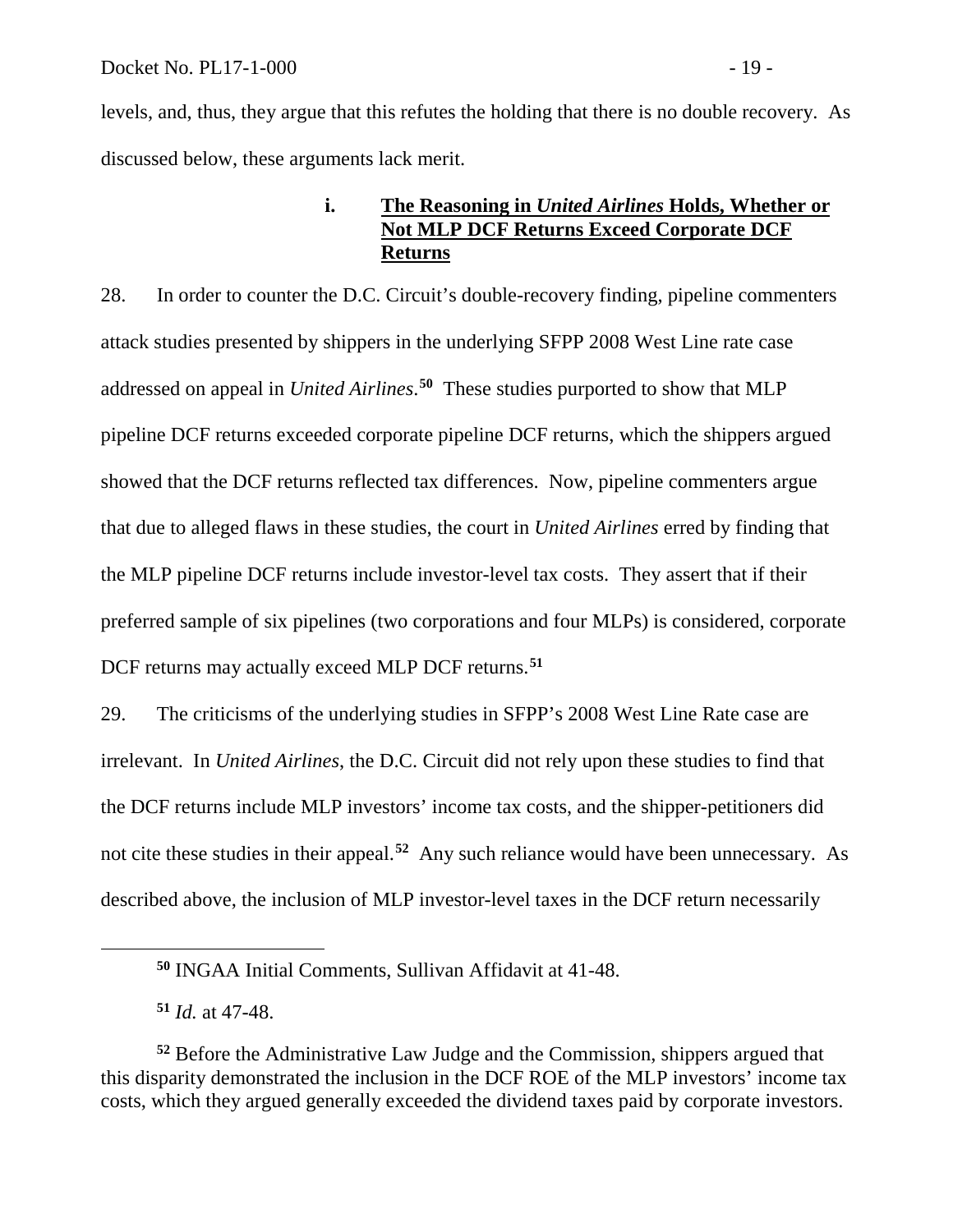levels, and, thus, they argue that this refutes the holding that there is no double recovery. As discussed below, these arguments lack merit.

### **i. The Reasoning in** *United Airlines* **Holds, Whether or Not MLP DCF Returns Exceed Corporate DCF Returns**

28. In order to counter the D.C. Circuit's double-recovery finding, pipeline commenters attack studies presented by shippers in the underlying SFPP 2008 West Line rate case addressed on appeal in *United Airlines*. **[50](#page-20-0)** These studies purported to show that MLP pipeline DCF returns exceeded corporate pipeline DCF returns, which the shippers argued showed that the DCF returns reflected tax differences. Now, pipeline commenters argue that due to alleged flaws in these studies, the court in *United Airlines* erred by finding that the MLP pipeline DCF returns include investor-level tax costs. They assert that if their preferred sample of six pipelines (two corporations and four MLPs) is considered, corporate DCF returns may actually exceed MLP DCF returns.**[51](#page-20-1)**

29. The criticisms of the underlying studies in SFPP's 2008 West Line Rate case are irrelevant. In *United Airlines*, the D.C. Circuit did not rely upon these studies to find that the DCF returns include MLP investors' income tax costs, and the shipper-petitioners did not cite these studies in their appeal.**[52](#page-20-2)** Any such reliance would have been unnecessary. As described above, the inclusion of MLP investor-level taxes in the DCF return necessarily

<span id="page-20-0"></span> $\overline{a}$ 

**<sup>50</sup>** INGAA Initial Comments, Sullivan Affidavit at 41-48.

**<sup>51</sup>** *Id.* at 47-48.

<span id="page-20-2"></span><span id="page-20-1"></span>**<sup>52</sup>** Before the Administrative Law Judge and the Commission, shippers argued that this disparity demonstrated the inclusion in the DCF ROE of the MLP investors' income tax costs, which they argued generally exceeded the dividend taxes paid by corporate investors.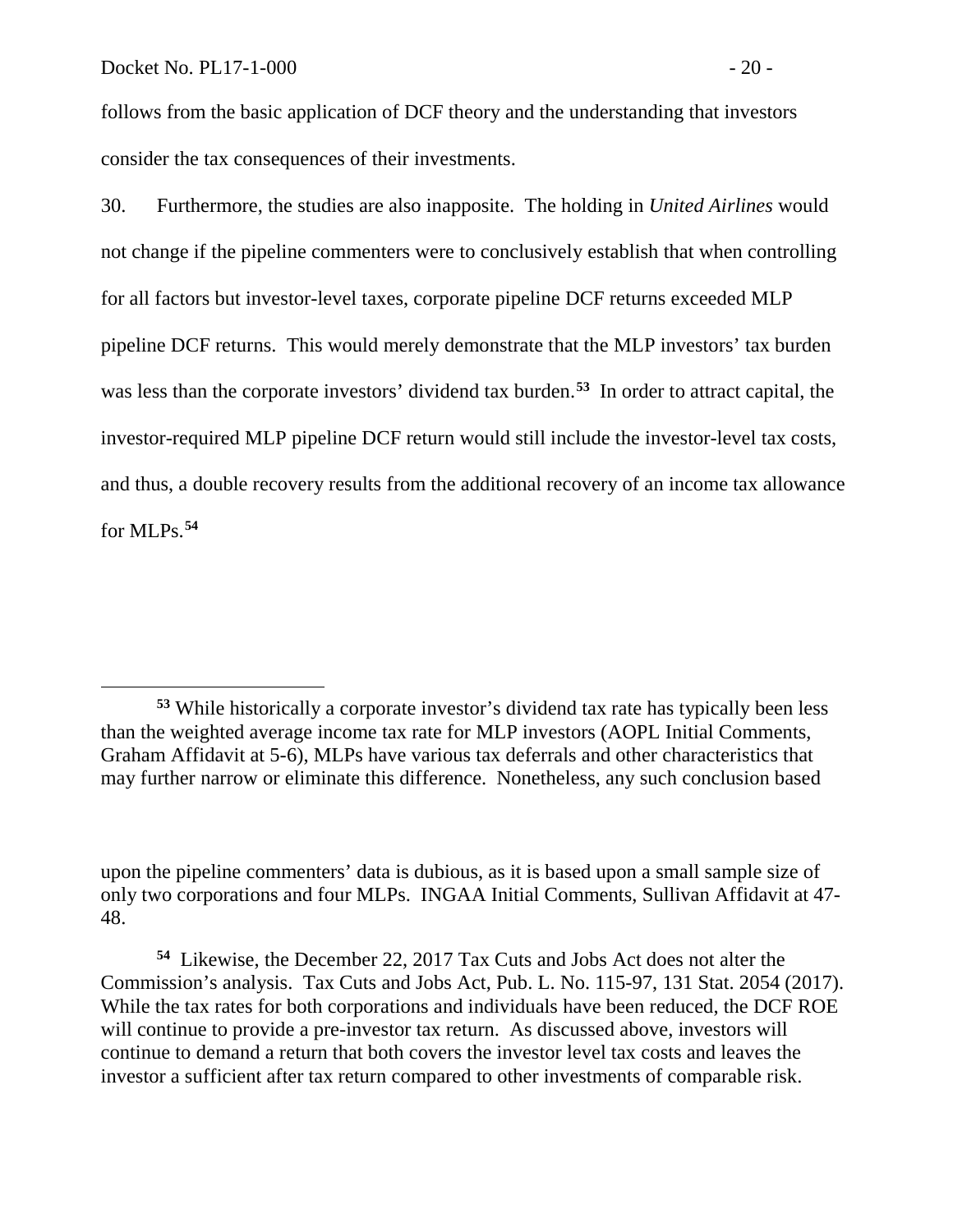follows from the basic application of DCF theory and the understanding that investors consider the tax consequences of their investments.

30. Furthermore, the studies are also inapposite. The holding in *United Airlines* would not change if the pipeline commenters were to conclusively establish that when controlling for all factors but investor-level taxes, corporate pipeline DCF returns exceeded MLP pipeline DCF returns. This would merely demonstrate that the MLP investors' tax burden was less than the corporate investors' dividend tax burden.**[53](#page-21-0)** In order to attract capital, the investor-required MLP pipeline DCF return would still include the investor-level tax costs, and thus, a double recovery results from the additional recovery of an income tax allowance for MLPs.**[54](#page-21-1)**

<span id="page-21-0"></span>**<sup>53</sup>** While historically a corporate investor's dividend tax rate has typically been less than the weighted average income tax rate for MLP investors (AOPL Initial Comments, Graham Affidavit at 5-6), MLPs have various tax deferrals and other characteristics that may further narrow or eliminate this difference. Nonetheless, any such conclusion based

upon the pipeline commenters' data is dubious, as it is based upon a small sample size of only two corporations and four MLPs. INGAA Initial Comments, Sullivan Affidavit at 47- 48.

<span id="page-21-1"></span>**<sup>54</sup>** Likewise, the December 22, 2017 Tax Cuts and Jobs Act does not alter the Commission's analysis. Tax Cuts and Jobs Act, Pub. L. No. 115-97, 131 Stat. 2054 (2017). While the tax rates for both corporations and individuals have been reduced, the DCF ROE will continue to provide a pre-investor tax return. As discussed above, investors will continue to demand a return that both covers the investor level tax costs and leaves the investor a sufficient after tax return compared to other investments of comparable risk.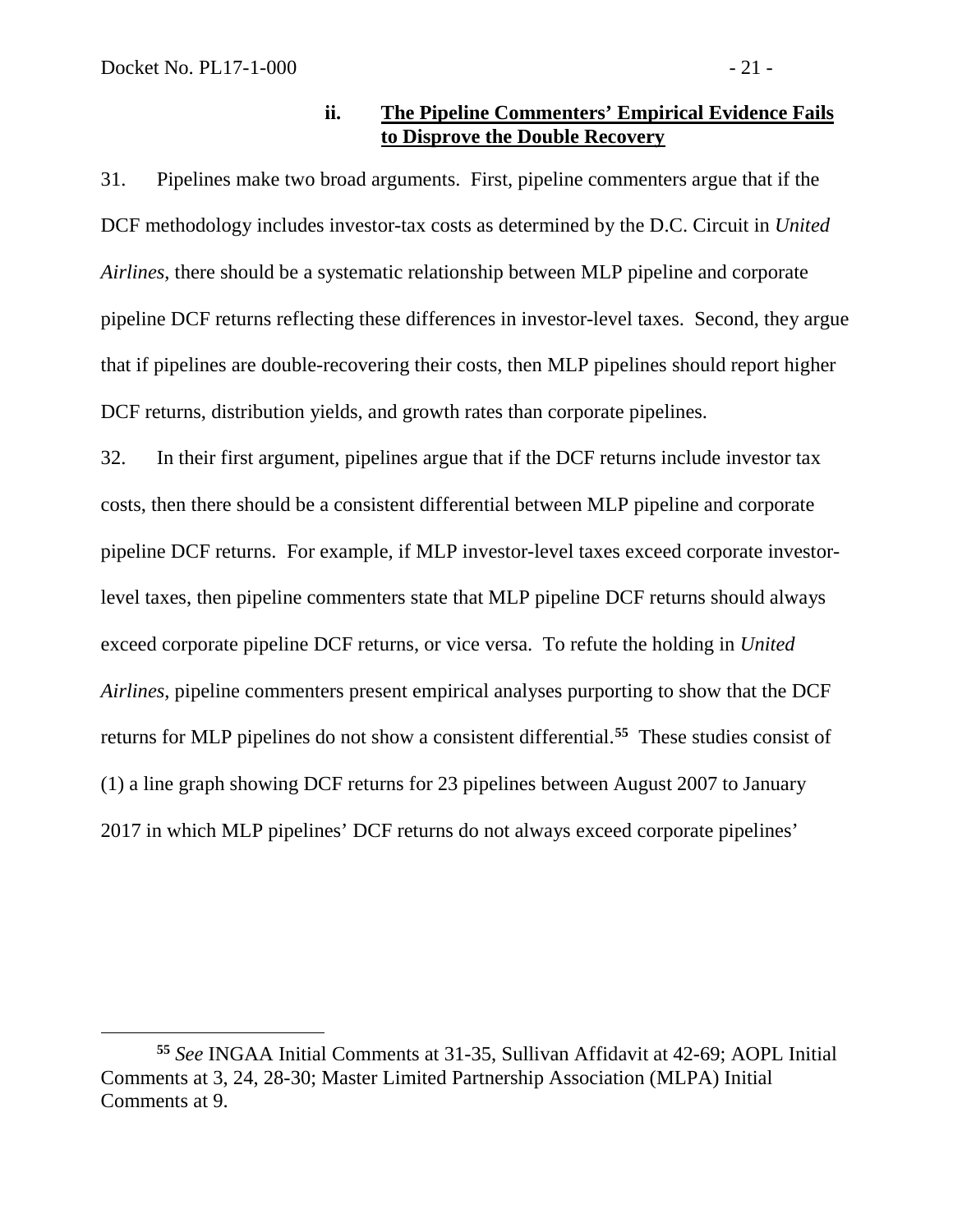### **ii. The Pipeline Commenters' Empirical Evidence Fails to Disprove the Double Recovery**

31. Pipelines make two broad arguments. First, pipeline commenters argue that if the DCF methodology includes investor-tax costs as determined by the D.C. Circuit in *United Airlines*, there should be a systematic relationship between MLP pipeline and corporate pipeline DCF returns reflecting these differences in investor-level taxes. Second, they argue that if pipelines are double-recovering their costs, then MLP pipelines should report higher DCF returns, distribution yields, and growth rates than corporate pipelines.

32. In their first argument, pipelines argue that if the DCF returns include investor tax costs, then there should be a consistent differential between MLP pipeline and corporate pipeline DCF returns. For example, if MLP investor-level taxes exceed corporate investorlevel taxes, then pipeline commenters state that MLP pipeline DCF returns should always exceed corporate pipeline DCF returns, or vice versa. To refute the holding in *United Airlines*, pipeline commenters present empirical analyses purporting to show that the DCF returns for MLP pipelines do not show a consistent differential.**[55](#page-22-0)** These studies consist of (1) a line graph showing DCF returns for 23 pipelines between August 2007 to January 2017 in which MLP pipelines' DCF returns do not always exceed corporate pipelines'

<span id="page-22-0"></span> $\overline{a}$ **<sup>55</sup>** *See* INGAA Initial Comments at 31-35, Sullivan Affidavit at 42-69; AOPL Initial Comments at 3, 24, 28-30; Master Limited Partnership Association (MLPA) Initial Comments at 9.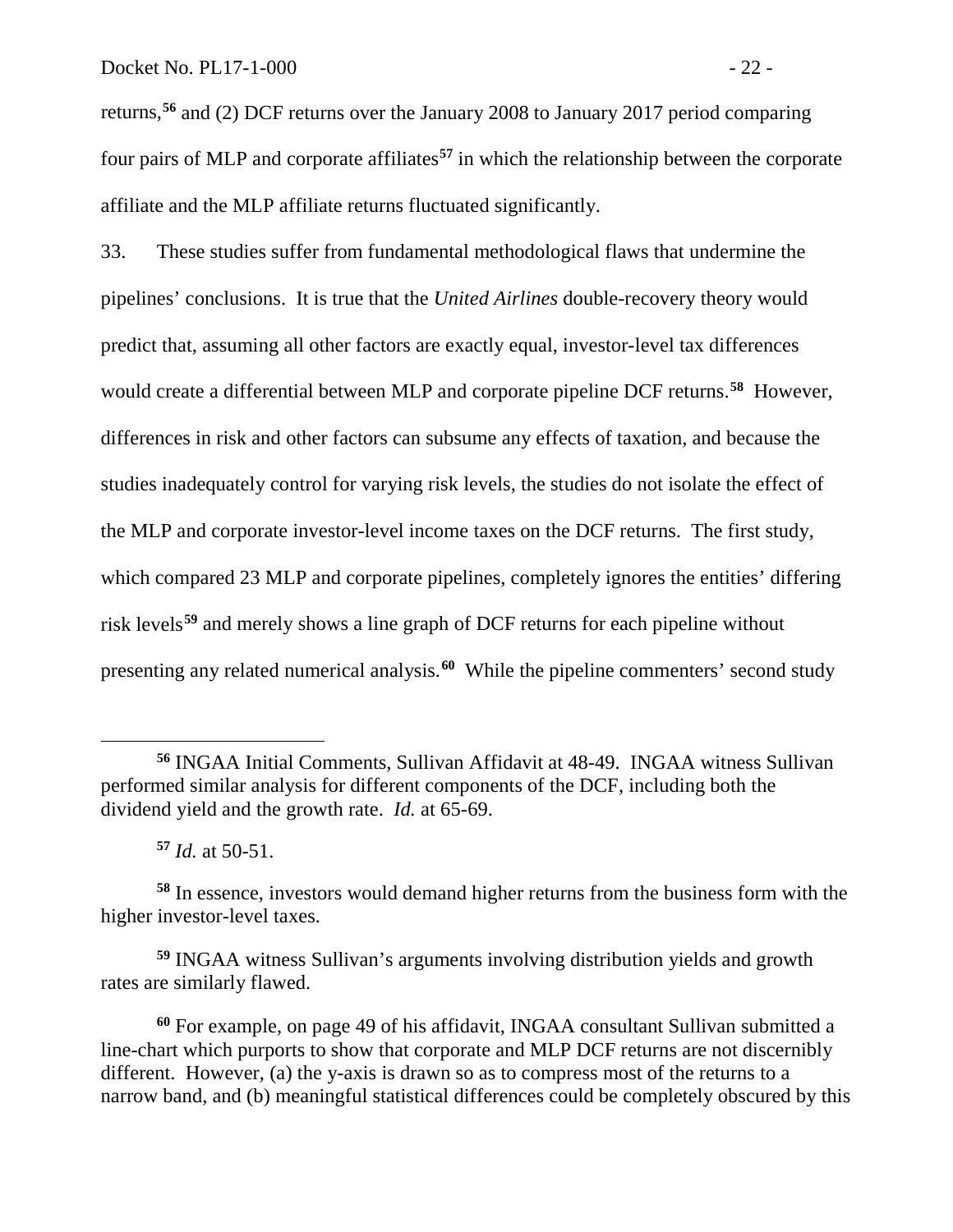returns,**[56](#page-23-0)** and (2) DCF returns over the January 2008 to January 2017 period comparing four pairs of MLP and corporate affiliates**[57](#page-23-1)** in which the relationship between the corporate affiliate and the MLP affiliate returns fluctuated significantly.

33. These studies suffer from fundamental methodological flaws that undermine the pipelines' conclusions. It is true that the *United Airlines* double-recovery theory would predict that, assuming all other factors are exactly equal, investor-level tax differences would create a differential between MLP and corporate pipeline DCF returns.**[58](#page-23-2)** However, differences in risk and other factors can subsume any effects of taxation, and because the studies inadequately control for varying risk levels, the studies do not isolate the effect of the MLP and corporate investor-level income taxes on the DCF returns. The first study, which compared 23 MLP and corporate pipelines, completely ignores the entities' differing risk levels**[59](#page-23-3)** and merely shows a line graph of DCF returns for each pipeline without presenting any related numerical analysis.**[60](#page-23-4)** While the pipeline commenters' second study

 $\overline{a}$ 

<span id="page-23-3"></span>**<sup>59</sup>** INGAA witness Sullivan's arguments involving distribution yields and growth rates are similarly flawed.

<span id="page-23-4"></span>**<sup>60</sup>** For example, on page 49 of his affidavit, INGAA consultant Sullivan submitted a line-chart which purports to show that corporate and MLP DCF returns are not discernibly different. However, (a) the y-axis is drawn so as to compress most of the returns to a narrow band, and (b) meaningful statistical differences could be completely obscured by this

<span id="page-23-0"></span>**<sup>56</sup>** INGAA Initial Comments, Sullivan Affidavit at 48-49. INGAA witness Sullivan performed similar analysis for different components of the DCF, including both the dividend yield and the growth rate. *Id.* at 65-69.

**<sup>57</sup>** *Id.* at 50-51.

<span id="page-23-2"></span><span id="page-23-1"></span>**<sup>58</sup>** In essence, investors would demand higher returns from the business form with the higher investor-level taxes.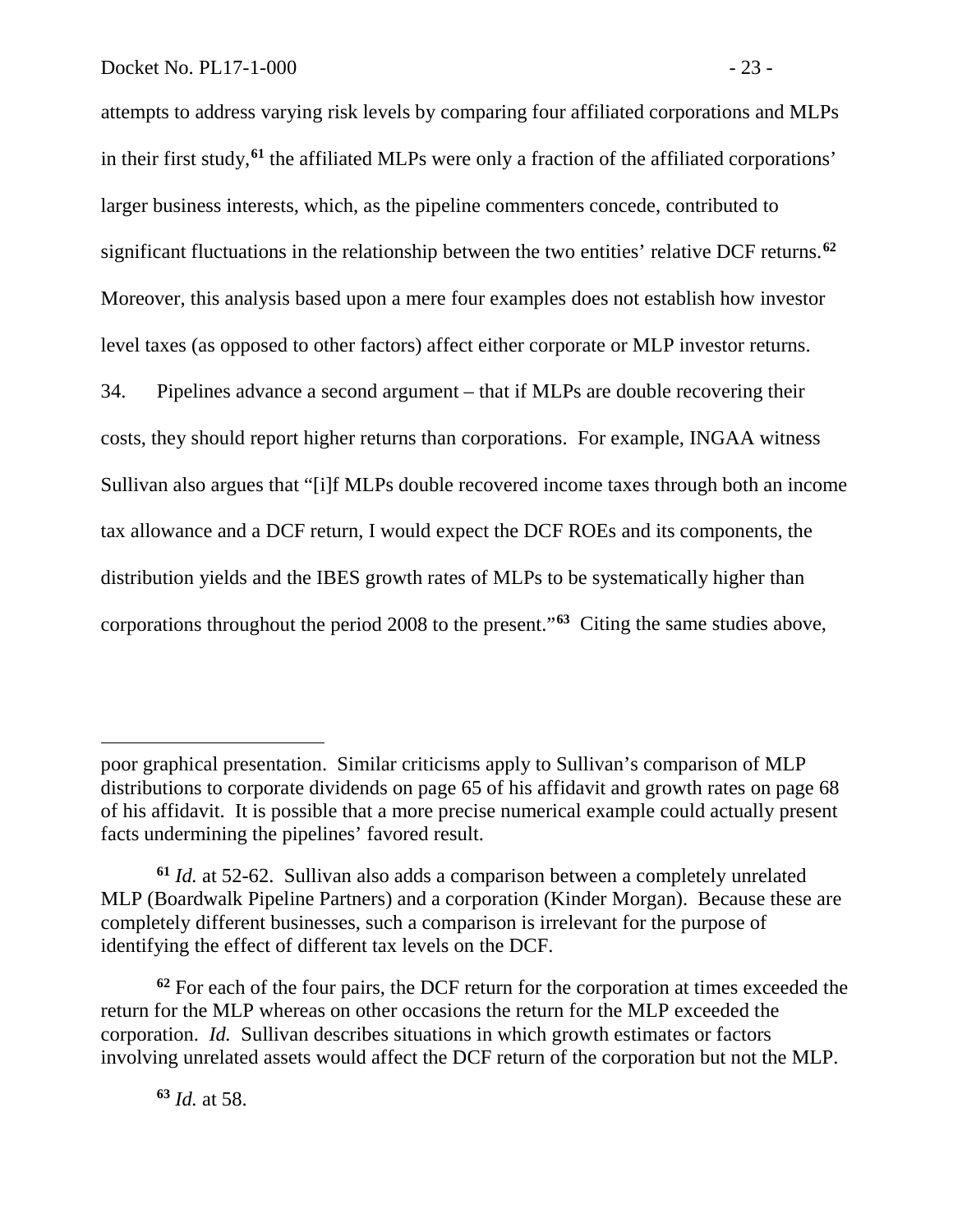attempts to address varying risk levels by comparing four affiliated corporations and MLPs in their first study,**[61](#page-24-0)** the affiliated MLPs were only a fraction of the affiliated corporations' larger business interests, which, as the pipeline commenters concede, contributed to significant fluctuations in the relationship between the two entities' relative DCF returns.**[62](#page-24-1)** Moreover, this analysis based upon a mere four examples does not establish how investor level taxes (as opposed to other factors) affect either corporate or MLP investor returns. 34. Pipelines advance a second argument – that if MLPs are double recovering their costs, they should report higher returns than corporations. For example, INGAA witness Sullivan also argues that "[i]f MLPs double recovered income taxes through both an income tax allowance and a DCF return, I would expect the DCF ROEs and its components, the distribution yields and the IBES growth rates of MLPs to be systematically higher than corporations throughout the period 2008 to the present."**[63](#page-24-2)** Citing the same studies above,

**<sup>63</sup>** *Id.* at 58.

 $\overline{a}$ 

poor graphical presentation. Similar criticisms apply to Sullivan's comparison of MLP distributions to corporate dividends on page 65 of his affidavit and growth rates on page 68 of his affidavit. It is possible that a more precise numerical example could actually present facts undermining the pipelines' favored result.

<span id="page-24-0"></span>**<sup>61</sup>** *Id.* at 52-62. Sullivan also adds a comparison between a completely unrelated MLP (Boardwalk Pipeline Partners) and a corporation (Kinder Morgan). Because these are completely different businesses, such a comparison is irrelevant for the purpose of identifying the effect of different tax levels on the DCF.

<span id="page-24-2"></span><span id="page-24-1"></span>**<sup>62</sup>** For each of the four pairs, the DCF return for the corporation at times exceeded the return for the MLP whereas on other occasions the return for the MLP exceeded the corporation. *Id.* Sullivan describes situations in which growth estimates or factors involving unrelated assets would affect the DCF return of the corporation but not the MLP.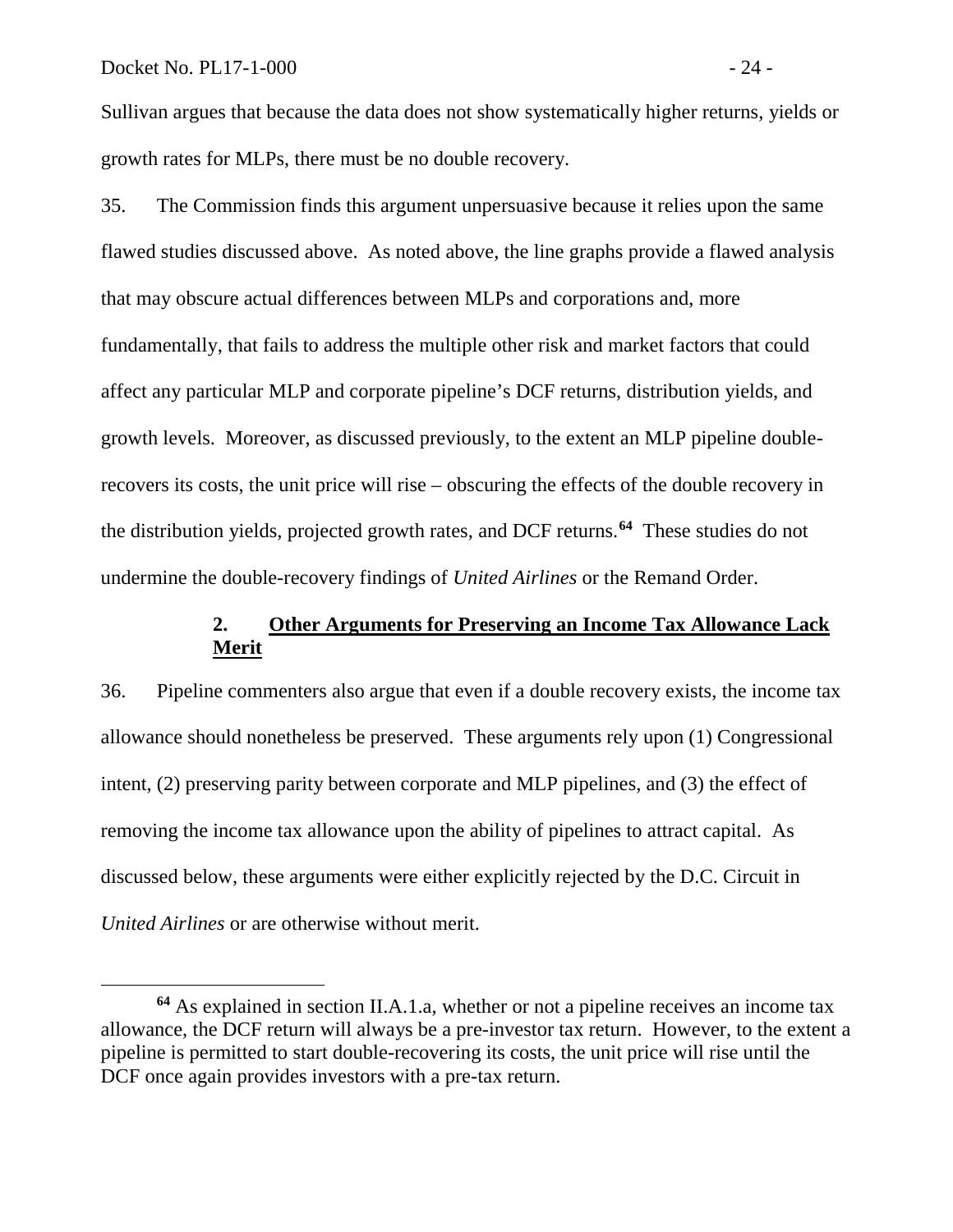Sullivan argues that because the data does not show systematically higher returns, yields or growth rates for MLPs, there must be no double recovery.

35. The Commission finds this argument unpersuasive because it relies upon the same flawed studies discussed above. As noted above, the line graphs provide a flawed analysis that may obscure actual differences between MLPs and corporations and, more fundamentally, that fails to address the multiple other risk and market factors that could affect any particular MLP and corporate pipeline's DCF returns, distribution yields, and growth levels. Moreover, as discussed previously, to the extent an MLP pipeline doublerecovers its costs, the unit price will rise – obscuring the effects of the double recovery in the distribution yields, projected growth rates, and DCF returns.**[64](#page-25-0)** These studies do not undermine the double-recovery findings of *United Airlines* or the Remand Order.

# **2. Other Arguments for Preserving an Income Tax Allowance Lack Merit**

36. Pipeline commenters also argue that even if a double recovery exists, the income tax allowance should nonetheless be preserved. These arguments rely upon (1) Congressional intent, (2) preserving parity between corporate and MLP pipelines, and (3) the effect of removing the income tax allowance upon the ability of pipelines to attract capital. As discussed below, these arguments were either explicitly rejected by the D.C. Circuit in *United Airlines* or are otherwise without merit.

<span id="page-25-0"></span>**<sup>64</sup>** As explained in section II.A.1.a, whether or not a pipeline receives an income tax allowance, the DCF return will always be a pre-investor tax return. However, to the extent a pipeline is permitted to start double-recovering its costs, the unit price will rise until the DCF once again provides investors with a pre-tax return.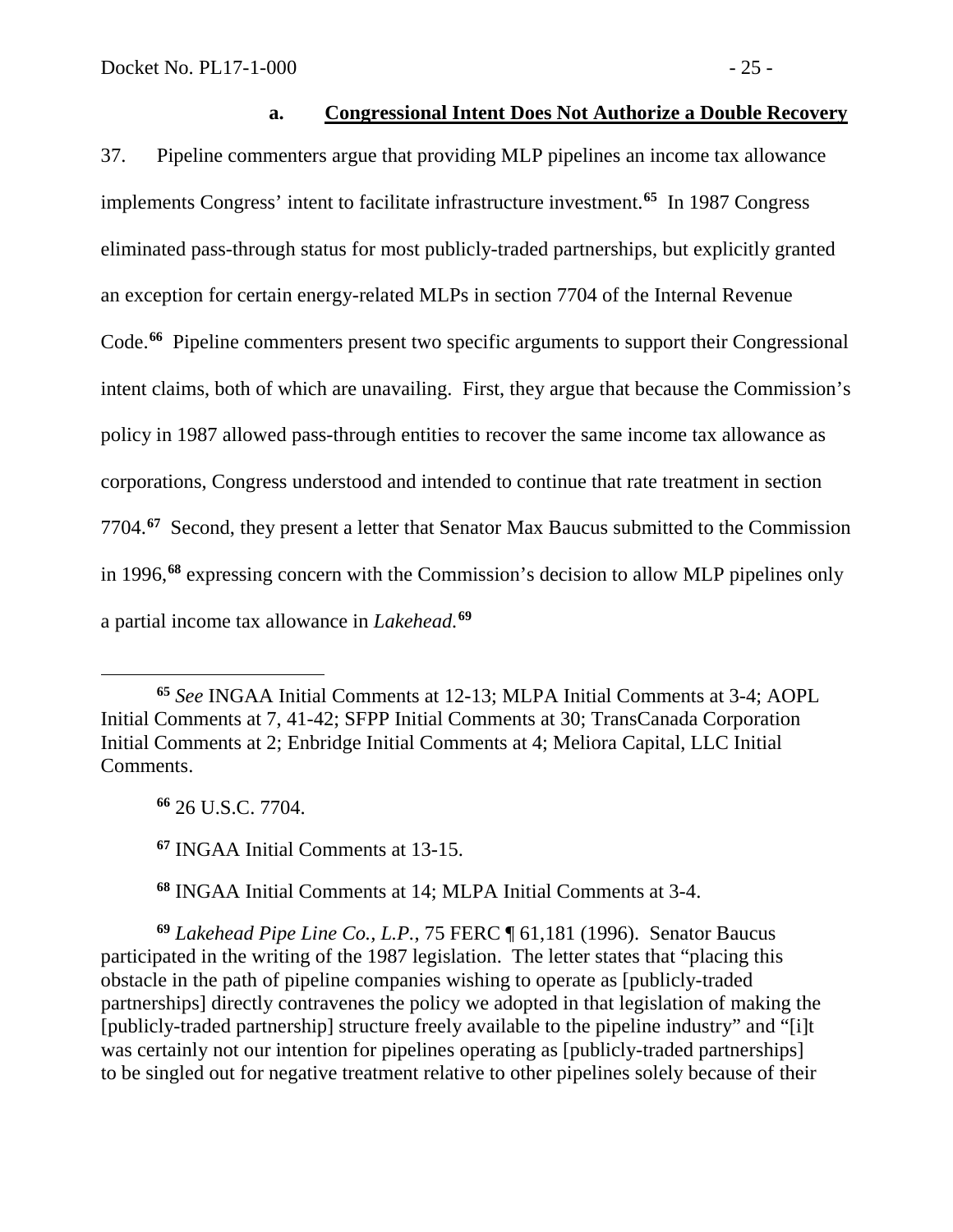### **a. Congressional Intent Does Not Authorize a Double Recovery**

37. Pipeline commenters argue that providing MLP pipelines an income tax allowance implements Congress' intent to facilitate infrastructure investment.**[65](#page-26-0)** In 1987 Congress eliminated pass-through status for most publicly-traded partnerships, but explicitly granted an exception for certain energy-related MLPs in section 7704 of the Internal Revenue Code.**[66](#page-26-1)** Pipeline commenters present two specific arguments to support their Congressional intent claims, both of which are unavailing. First, they argue that because the Commission's policy in 1987 allowed pass-through entities to recover the same income tax allowance as corporations, Congress understood and intended to continue that rate treatment in section 7704.**[67](#page-26-2)** Second, they present a letter that Senator Max Baucus submitted to the Commission in 1996,**[68](#page-26-3)** expressing concern with the Commission's decision to allow MLP pipelines only a partial income tax allowance in *Lakehead.***[69](#page-26-4)**

**<sup>66</sup>** 26 U.S.C. 7704.

 $\overline{a}$ 

**<sup>67</sup>** INGAA Initial Comments at 13-15.

**<sup>68</sup>** INGAA Initial Comments at 14; MLPA Initial Comments at 3-4.

<span id="page-26-4"></span><span id="page-26-3"></span><span id="page-26-2"></span>**<sup>69</sup>** *Lakehead Pipe Line Co., L.P.*, 75 FERC ¶ 61,181 (1996). Senator Baucus participated in the writing of the 1987 legislation. The letter states that "placing this obstacle in the path of pipeline companies wishing to operate as [publicly-traded partnerships] directly contravenes the policy we adopted in that legislation of making the [publicly-traded partnership] structure freely available to the pipeline industry" and "[i]t was certainly not our intention for pipelines operating as [publicly-traded partnerships] to be singled out for negative treatment relative to other pipelines solely because of their

<span id="page-26-1"></span><span id="page-26-0"></span>**<sup>65</sup>** *See* INGAA Initial Comments at 12-13; MLPA Initial Comments at 3-4; AOPL Initial Comments at 7, 41-42; SFPP Initial Comments at 30; TransCanada Corporation Initial Comments at 2; Enbridge Initial Comments at 4; Meliora Capital, LLC Initial Comments.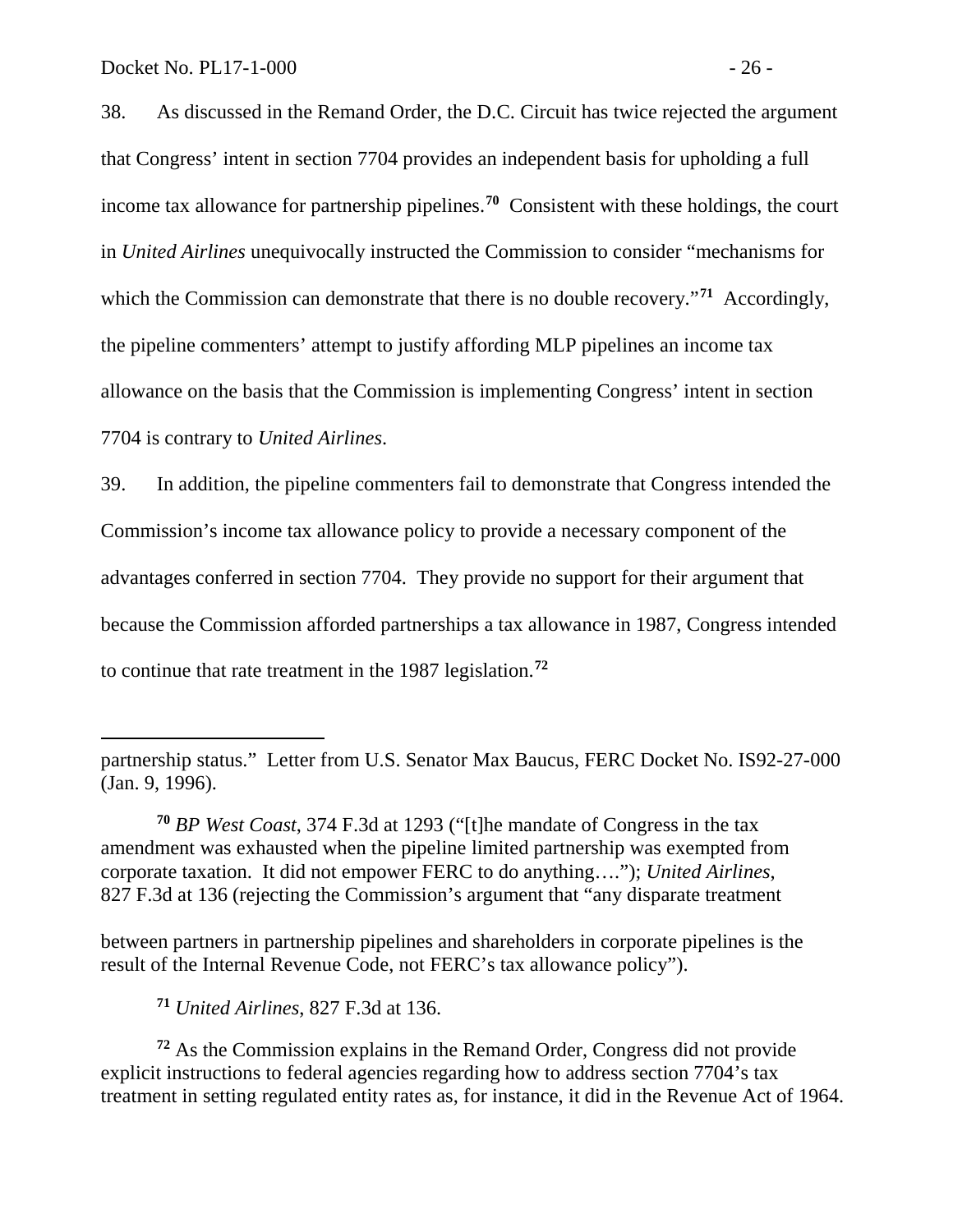38. As discussed in the Remand Order, the D.C. Circuit has twice rejected the argument that Congress' intent in section 7704 provides an independent basis for upholding a full income tax allowance for partnership pipelines.**[70](#page-27-0)** Consistent with these holdings, the court in *United Airlines* unequivocally instructed the Commission to consider "mechanisms for which the Commission can demonstrate that there is no double recovery.<sup>"[71](#page-27-1)</sup> Accordingly, the pipeline commenters' attempt to justify affording MLP pipelines an income tax allowance on the basis that the Commission is implementing Congress' intent in section 7704 is contrary to *United Airlines*.

39. In addition, the pipeline commenters fail to demonstrate that Congress intended the Commission's income tax allowance policy to provide a necessary component of the advantages conferred in section 7704. They provide no support for their argument that because the Commission afforded partnerships a tax allowance in 1987, Congress intended to continue that rate treatment in the 1987 legislation.**[72](#page-27-2)**

between partners in partnership pipelines and shareholders in corporate pipelines is the result of the Internal Revenue Code, not FERC's tax allowance policy").

**<sup>71</sup>** *United Airlines*, 827 F.3d at 136.

<span id="page-27-2"></span><span id="page-27-1"></span>**<sup>72</sup>** As the Commission explains in the Remand Order, Congress did not provide explicit instructions to federal agencies regarding how to address section 7704's tax treatment in setting regulated entity rates as, for instance, it did in the Revenue Act of 1964.

partnership status." Letter from U.S. Senator Max Baucus, FERC Docket No. IS92-27-000 (Jan. 9, 1996).

<span id="page-27-0"></span>**<sup>70</sup>** *BP West Coast*, 374 F.3d at 1293 ("[t]he mandate of Congress in the tax amendment was exhausted when the pipeline limited partnership was exempted from corporate taxation. It did not empower FERC to do anything…."); *United Airlines*, 827 F.3d at 136 (rejecting the Commission's argument that "any disparate treatment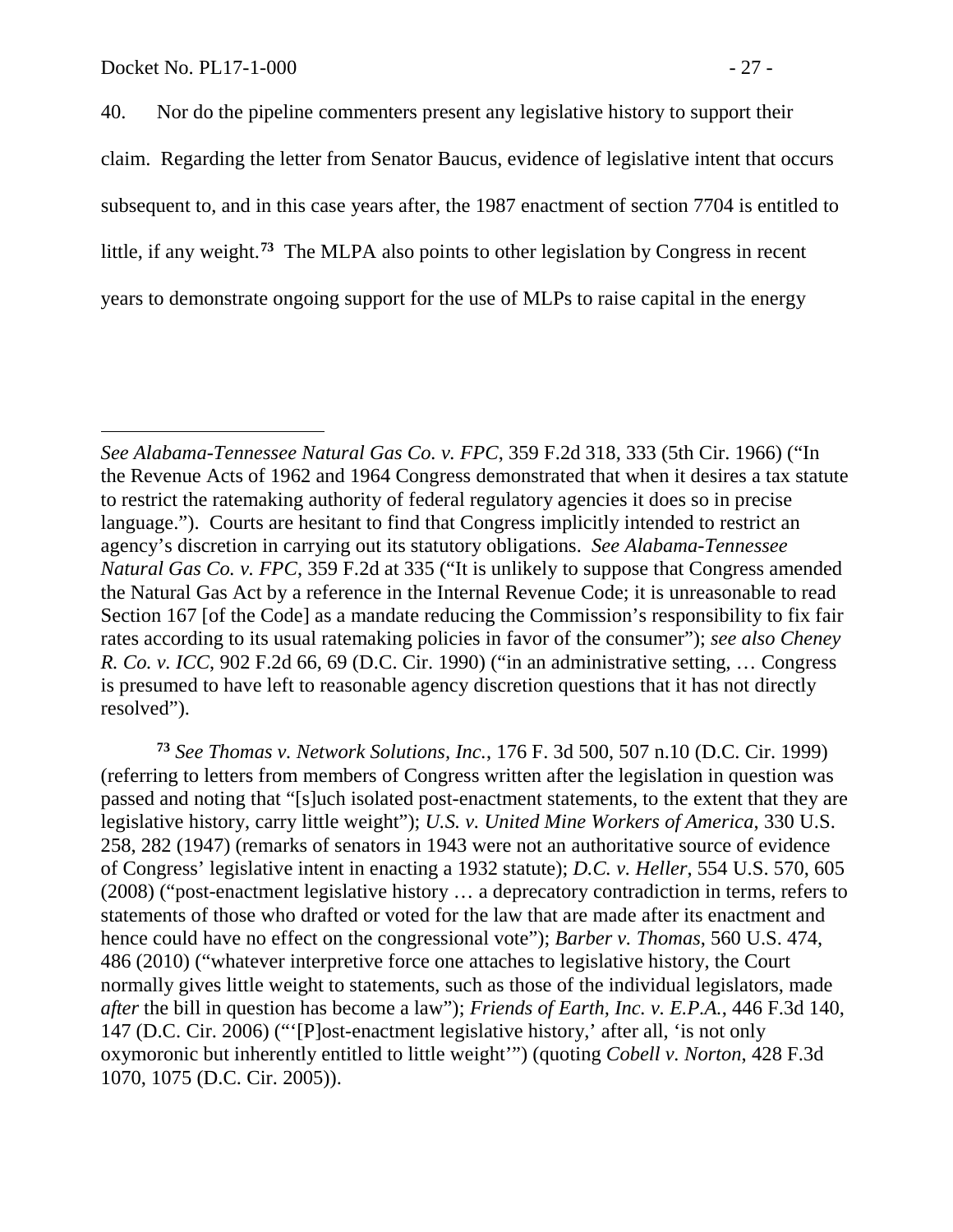40. Nor do the pipeline commenters present any legislative history to support their claim. Regarding the letter from Senator Baucus, evidence of legislative intent that occurs subsequent to, and in this case years after, the 1987 enactment of section 7704 is entitled to little, if any weight. **[73](#page-28-0)** The MLPA also points to other legislation by Congress in recent years to demonstrate ongoing support for the use of MLPs to raise capital in the energy

<span id="page-28-0"></span>**<sup>73</sup>** *See Thomas v. Network Solutions, Inc.*, 176 F. 3d 500, 507 n.10 (D.C. Cir. 1999) (referring to letters from members of Congress written after the legislation in question was passed and noting that "[s]uch isolated post-enactment statements, to the extent that they are legislative history, carry little weight"); *U.S. v. United Mine Workers of America*, 330 U.S. 258, 282 (1947) (remarks of senators in 1943 were not an authoritative source of evidence of Congress' legislative intent in enacting a 1932 statute); *D.C. v. Heller*, 554 U.S. 570, 605 (2008) ("post-enactment legislative history … a deprecatory contradiction in terms, refers to statements of those who drafted or voted for the law that are made after its enactment and hence could have no effect on the congressional vote"); *Barber v. Thomas*, 560 U.S. 474, 486 (2010) ("whatever interpretive force one attaches to legislative history, the Court normally gives little weight to statements, such as those of the individual legislators, made *after* the bill in question has become a law"); *Friends of Earth, Inc. v. E.P.A.*, 446 F.3d 140, 147 (D.C. Cir. 2006) ("'[P]ost-enactment legislative history,' after all, 'is not only oxymoronic but inherently entitled to little weight'") (quoting *Cobell v. Norton*, 428 F.3d 1070, 1075 (D.C. Cir. 2005)).

*See Alabama-Tennessee Natural Gas Co. v. FPC*, 359 F.2d 318, 333 (5th Cir. 1966) ("In the Revenue Acts of 1962 and 1964 Congress demonstrated that when it desires a tax statute to restrict the ratemaking authority of federal regulatory agencies it does so in precise language."). Courts are hesitant to find that Congress implicitly intended to restrict an agency's discretion in carrying out its statutory obligations. *See Alabama-Tennessee Natural Gas Co. v. FPC*, 359 F.2d at 335 ("It is unlikely to suppose that Congress amended the Natural Gas Act by a reference in the Internal Revenue Code; it is unreasonable to read Section 167 [of the Code] as a mandate reducing the Commission's responsibility to fix fair rates according to its usual ratemaking policies in favor of the consumer"); *see also Cheney R. Co. v. ICC*, 902 F.2d 66, 69 (D.C. Cir. 1990) ("in an administrative setting, … Congress is presumed to have left to reasonable agency discretion questions that it has not directly resolved").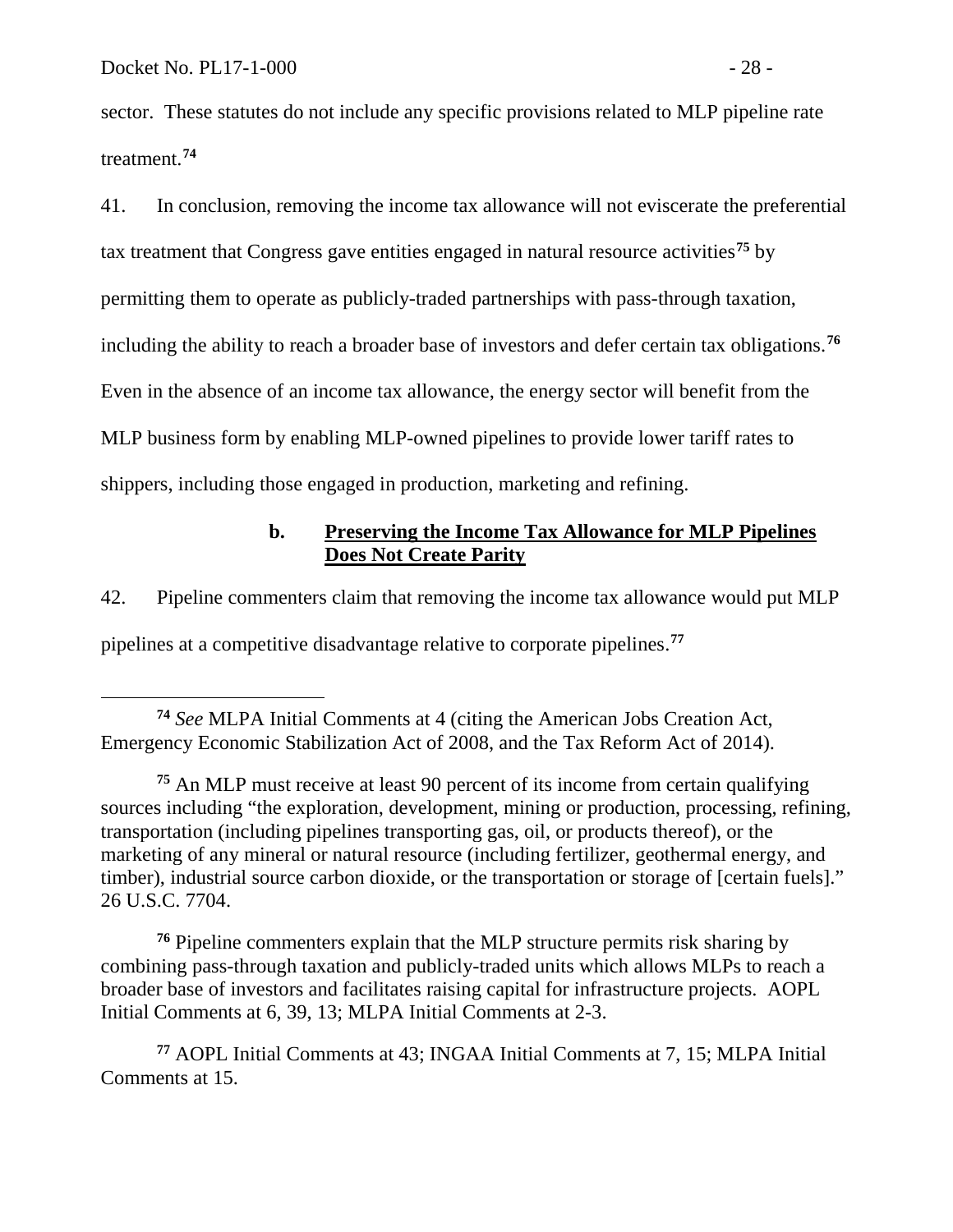sector. These statutes do not include any specific provisions related to MLP pipeline rate treatment.**[74](#page-29-0)**

41. In conclusion, removing the income tax allowance will not eviscerate the preferential tax treatment that Congress gave entities engaged in natural resource activities**[75](#page-29-1)** by permitting them to operate as publicly-traded partnerships with pass-through taxation, including the ability to reach a broader base of investors and defer certain tax obligations.**[76](#page-29-2)** Even in the absence of an income tax allowance, the energy sector will benefit from the MLP business form by enabling MLP-owned pipelines to provide lower tariff rates to shippers, including those engaged in production, marketing and refining.

### **b. Preserving the Income Tax Allowance for MLP Pipelines Does Not Create Parity**

42. Pipeline commenters claim that removing the income tax allowance would put MLP

pipelines at a competitive disadvantage relative to corporate pipelines. **[77](#page-29-3)**

<span id="page-29-2"></span>**<sup>76</sup>** Pipeline commenters explain that the MLP structure permits risk sharing by combining pass-through taxation and publicly-traded units which allows MLPs to reach a broader base of investors and facilitates raising capital for infrastructure projects. AOPL Initial Comments at 6, 39, 13; MLPA Initial Comments at 2-3.

<span id="page-29-3"></span>**<sup>77</sup>** AOPL Initial Comments at 43; INGAA Initial Comments at 7, 15; MLPA Initial Comments at 15.

<span id="page-29-0"></span>**<sup>74</sup>** *See* MLPA Initial Comments at 4 (citing the American Jobs Creation Act, Emergency Economic Stabilization Act of 2008, and the Tax Reform Act of 2014).

<span id="page-29-1"></span>**<sup>75</sup>** An MLP must receive at least 90 percent of its income from certain qualifying sources including "the exploration, development, mining or production, processing, refining, transportation (including pipelines transporting gas, oil, or products thereof), or the marketing of any mineral or natural resource (including fertilizer, geothermal energy, and timber), industrial source carbon dioxide, or the transportation or storage of [certain fuels]." 26 U.S.C. 7704.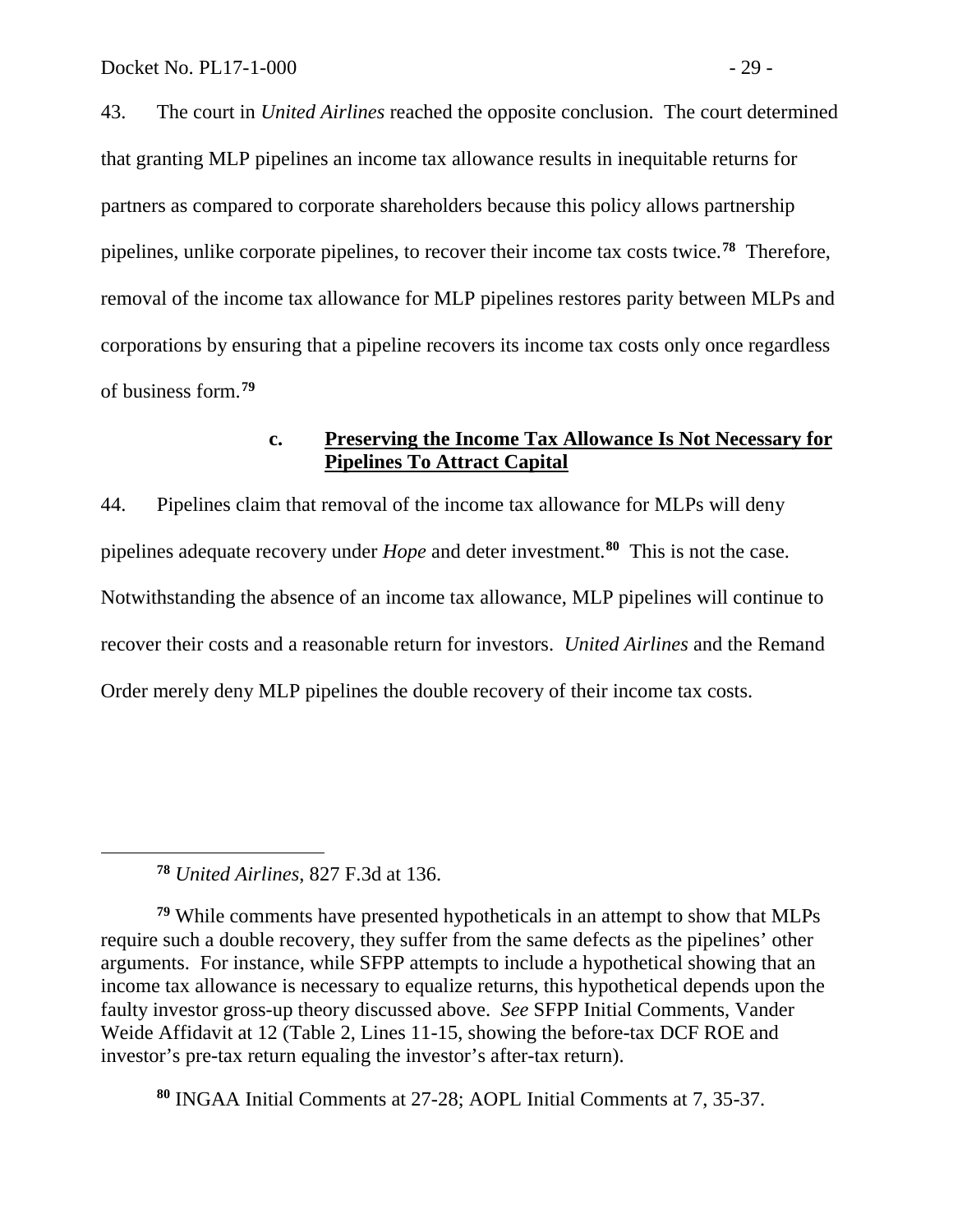43. The court in *United Airlines* reached the opposite conclusion. The court determined that granting MLP pipelines an income tax allowance results in inequitable returns for partners as compared to corporate shareholders because this policy allows partnership pipelines, unlike corporate pipelines, to recover their income tax costs twice.**[78](#page-30-0)** Therefore, removal of the income tax allowance for MLP pipelines restores parity between MLPs and corporations by ensuring that a pipeline recovers its income tax costs only once regardless of business form.**[79](#page-30-1)**

### **c. Preserving the Income Tax Allowance Is Not Necessary for Pipelines To Attract Capital**

44. Pipelines claim that removal of the income tax allowance for MLPs will deny pipelines adequate recovery under *Hope* and deter investment.**[80](#page-30-2)** This is not the case. Notwithstanding the absence of an income tax allowance, MLP pipelines will continue to recover their costs and a reasonable return for investors. *United Airlines* and the Remand Order merely deny MLP pipelines the double recovery of their income tax costs.

**<sup>78</sup>** *United Airlines*, 827 F.3d at 136.

<span id="page-30-0"></span> $\overline{a}$ 

<span id="page-30-1"></span>**<sup>79</sup>** While comments have presented hypotheticals in an attempt to show that MLPs require such a double recovery, they suffer from the same defects as the pipelines' other arguments. For instance, while SFPP attempts to include a hypothetical showing that an income tax allowance is necessary to equalize returns, this hypothetical depends upon the faulty investor gross-up theory discussed above. *See* SFPP Initial Comments, Vander Weide Affidavit at 12 (Table 2, Lines 11-15, showing the before-tax DCF ROE and investor's pre-tax return equaling the investor's after-tax return).

<span id="page-30-2"></span>**<sup>80</sup>** INGAA Initial Comments at 27-28; AOPL Initial Comments at 7, 35-37.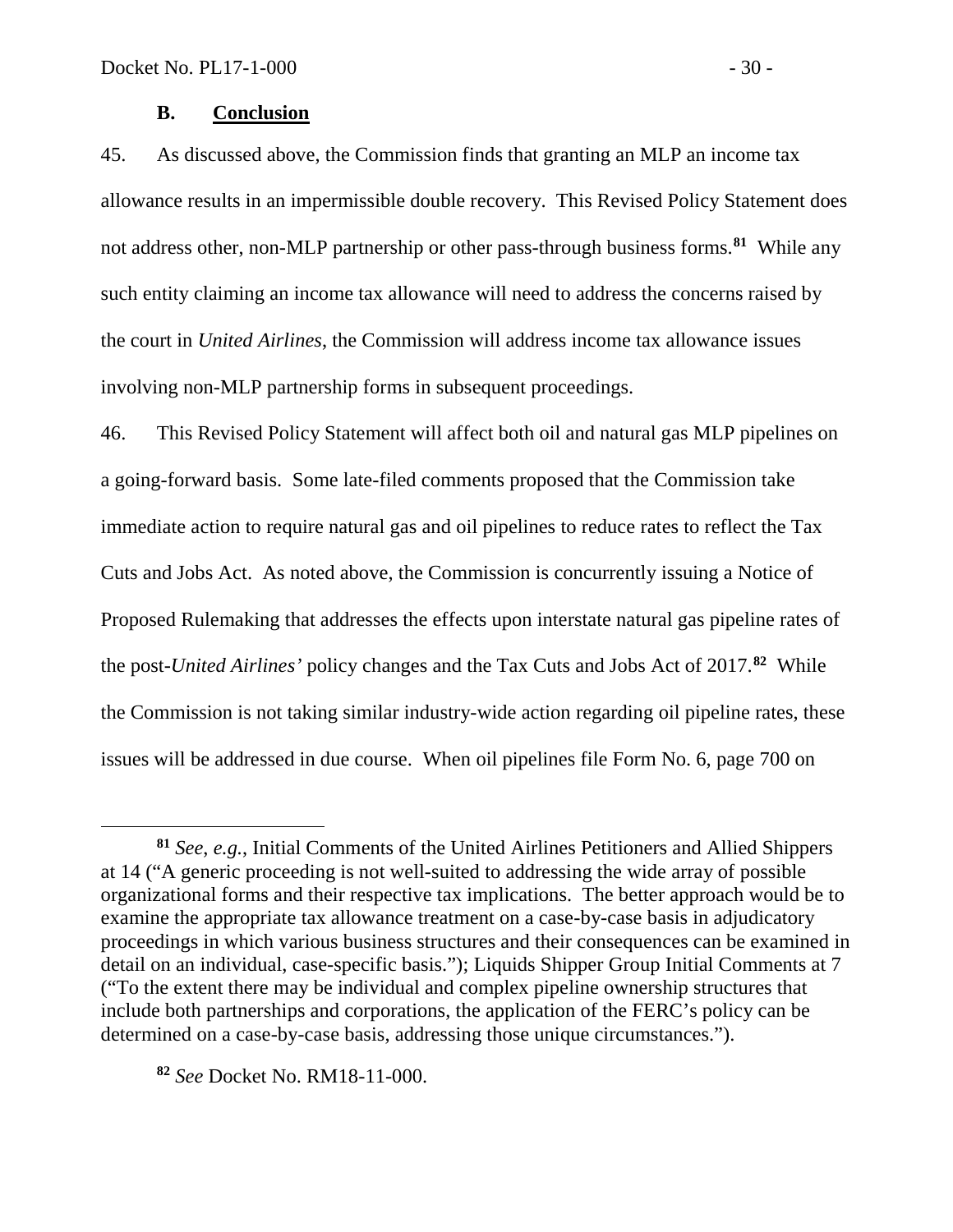### **B. Conclusion**

45. As discussed above, the Commission finds that granting an MLP an income tax allowance results in an impermissible double recovery. This Revised Policy Statement does not address other, non-MLP partnership or other pass-through business forms.**[81](#page-31-0)** While any such entity claiming an income tax allowance will need to address the concerns raised by the court in *United Airlines*, the Commission will address income tax allowance issues involving non-MLP partnership forms in subsequent proceedings.

46. This Revised Policy Statement will affect both oil and natural gas MLP pipelines on a going-forward basis.Some late-filed comments proposed that the Commission take immediate action to require natural gas and oil pipelines to reduce rates to reflect the Tax Cuts and Jobs Act. As noted above, the Commission is concurrently issuing a Notice of Proposed Rulemaking that addresses the effects upon interstate natural gas pipeline rates of the post-*United Airlines'* policy changes and the Tax Cuts and Jobs Act of 2017.**[82](#page-31-1)** While the Commission is not taking similar industry-wide action regarding oil pipeline rates, these issues will be addressed in due course. When oil pipelines file Form No. 6, page 700 on

<span id="page-31-1"></span>**<sup>82</sup>** *See* Docket No. RM18-11-000.

 $\overline{a}$ 

<span id="page-31-0"></span>**<sup>81</sup>** *See*, *e.g.*, Initial Comments of the United Airlines Petitioners and Allied Shippers at 14 ("A generic proceeding is not well-suited to addressing the wide array of possible organizational forms and their respective tax implications. The better approach would be to examine the appropriate tax allowance treatment on a case-by-case basis in adjudicatory proceedings in which various business structures and their consequences can be examined in detail on an individual, case-specific basis."); Liquids Shipper Group Initial Comments at 7 ("To the extent there may be individual and complex pipeline ownership structures that include both partnerships and corporations, the application of the FERC's policy can be determined on a case-by-case basis, addressing those unique circumstances.").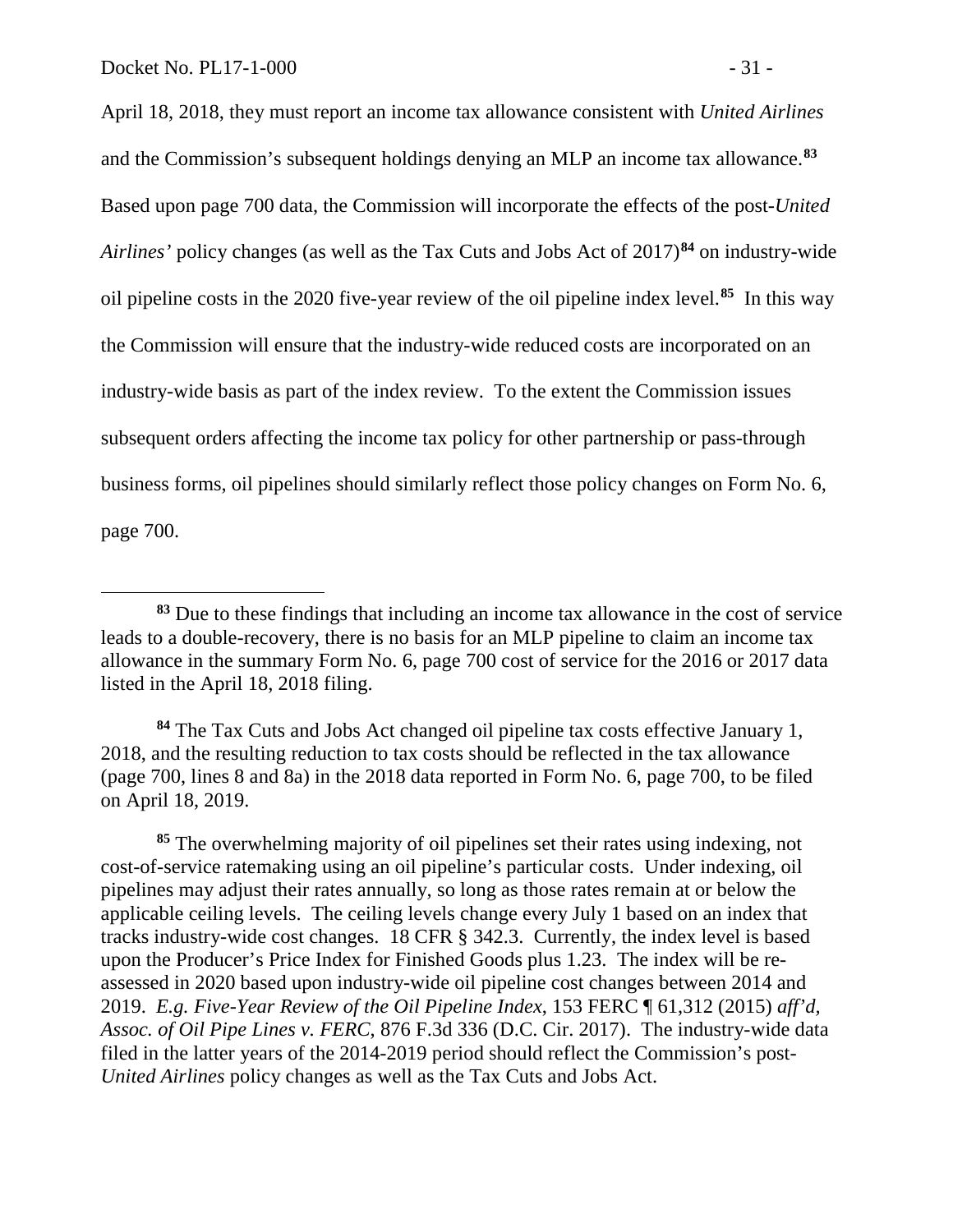April 18, 2018, they must report an income tax allowance consistent with *United Airlines*  and the Commission's subsequent holdings denying an MLP an income tax allowance.**[83](#page-32-0)** Based upon page 700 data, the Commission will incorporate the effects of the post-*United Airlines'* policy changes (as well as the Tax Cuts and Jobs Act of 2017)**[84](#page-32-1)** on industry-wide oil pipeline costs in the 2020 five-year review of the oil pipeline index level.**[85](#page-32-2)** In this way the Commission will ensure that the industry-wide reduced costs are incorporated on an industry-wide basis as part of the index review. To the extent the Commission issues subsequent orders affecting the income tax policy for other partnership or pass-through business forms, oil pipelines should similarly reflect those policy changes on Form No. 6, page 700.

<span id="page-32-0"></span>**<sup>83</sup>** Due to these findings that including an income tax allowance in the cost of service leads to a double-recovery, there is no basis for an MLP pipeline to claim an income tax allowance in the summary Form No. 6, page 700 cost of service for the 2016 or 2017 data listed in the April 18, 2018 filing.

<span id="page-32-1"></span>**<sup>84</sup>** The Tax Cuts and Jobs Act changed oil pipeline tax costs effective January 1, 2018, and the resulting reduction to tax costs should be reflected in the tax allowance (page 700, lines 8 and 8a) in the 2018 data reported in Form No. 6, page 700, to be filed on April 18, 2019.

<span id="page-32-2"></span>**<sup>85</sup>** The overwhelming majority of oil pipelines set their rates using indexing, not cost-of-service ratemaking using an oil pipeline's particular costs. Under indexing, oil pipelines may adjust their rates annually, so long as those rates remain at or below the applicable ceiling levels. The ceiling levels change every July 1 based on an index that tracks industry-wide cost changes. 18 CFR § 342.3. Currently, the index level is based upon the Producer's Price Index for Finished Goods plus 1.23. The index will be reassessed in 2020 based upon industry-wide oil pipeline cost changes between 2014 and 2019. *E.g. Five-Year Review of the Oil Pipeline Index*, 153 FERC ¶ 61,312 (2015) *aff'd, Assoc. of Oil Pipe Lines v. FERC*, 876 F.3d 336 (D.C. Cir. 2017). The industry-wide data filed in the latter years of the 2014-2019 period should reflect the Commission's post-*United Airlines* policy changes as well as the Tax Cuts and Jobs Act.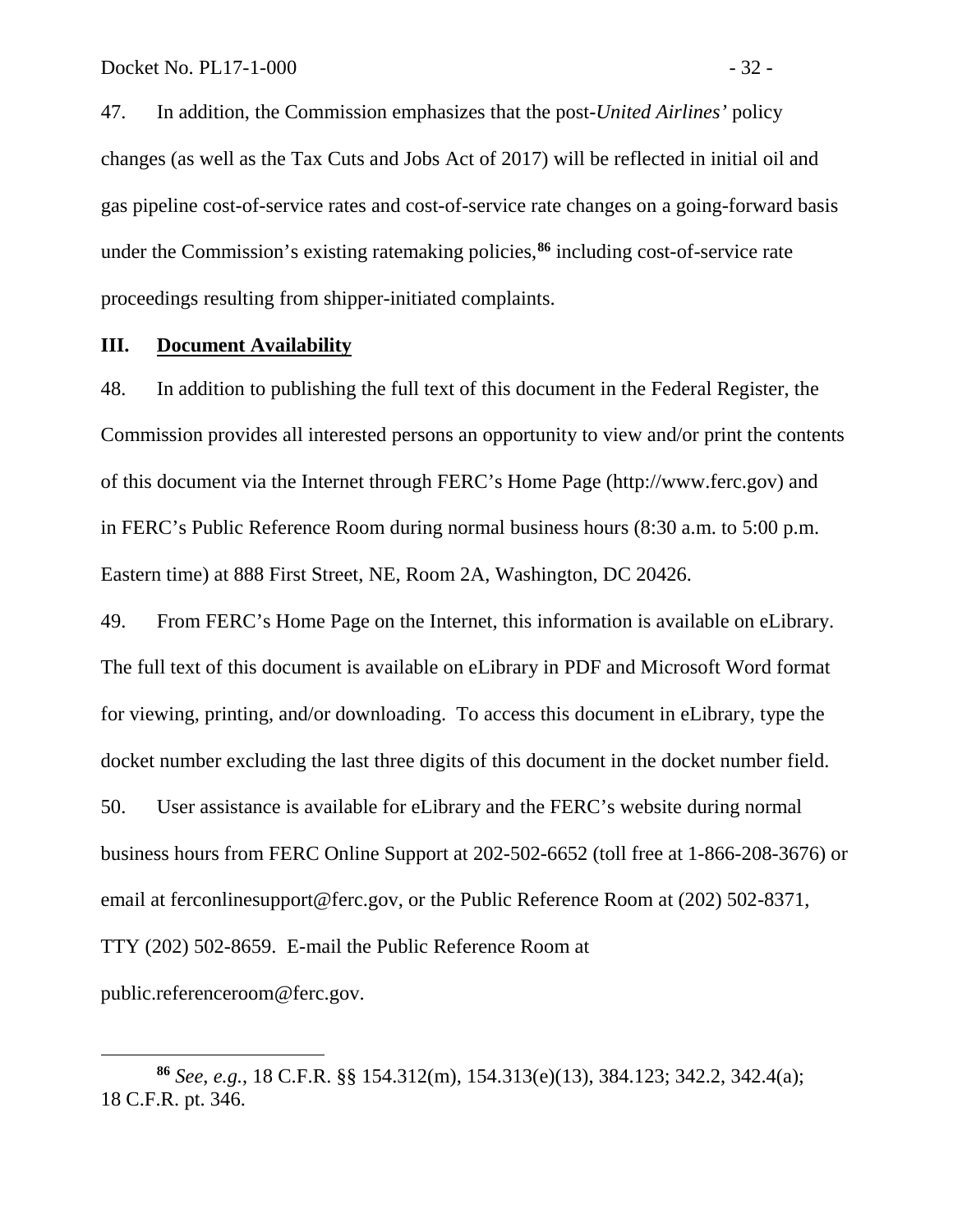47. In addition, the Commission emphasizes that the post-*United Airlines'* policy changes (as well as the Tax Cuts and Jobs Act of 2017) will be reflected in initial oil and gas pipeline cost-of-service rates and cost-of-service rate changes on a going-forward basis under the Commission's existing ratemaking policies, **[86](#page-33-0)** including cost-of-service rate proceedings resulting from shipper-initiated complaints.

#### **III. Document Availability**

 $\overline{a}$ 

48. In addition to publishing the full text of this document in the Federal Register, the Commission provides all interested persons an opportunity to view and/or print the contents of this document via the Internet through FERC's Home Page (http://www.ferc.gov) and in FERC's Public Reference Room during normal business hours (8:30 a.m. to 5:00 p.m. Eastern time) at 888 First Street, NE, Room 2A, Washington, DC 20426.

49. From FERC's Home Page on the Internet, this information is available on eLibrary. The full text of this document is available on eLibrary in PDF and Microsoft Word format for viewing, printing, and/or downloading. To access this document in eLibrary, type the docket number excluding the last three digits of this document in the docket number field. 50. User assistance is available for eLibrary and the FERC's website during normal business hours from FERC Online Support at 202-502-6652 (toll free at 1-866-208-3676) or email at ferconlinesupport@ferc.gov, or the Public Reference Room at (202) 502-8371, TTY (202) 502-8659. E-mail the Public Reference Room at public.referenceroom@ferc.gov.

<span id="page-33-0"></span>**<sup>86</sup>** *See*, *e.g.*, 18 C.F.R. §§ 154.312(m), 154.313(e)(13), 384.123; 342.2, 342.4(a); 18 C.F.R. pt. 346.